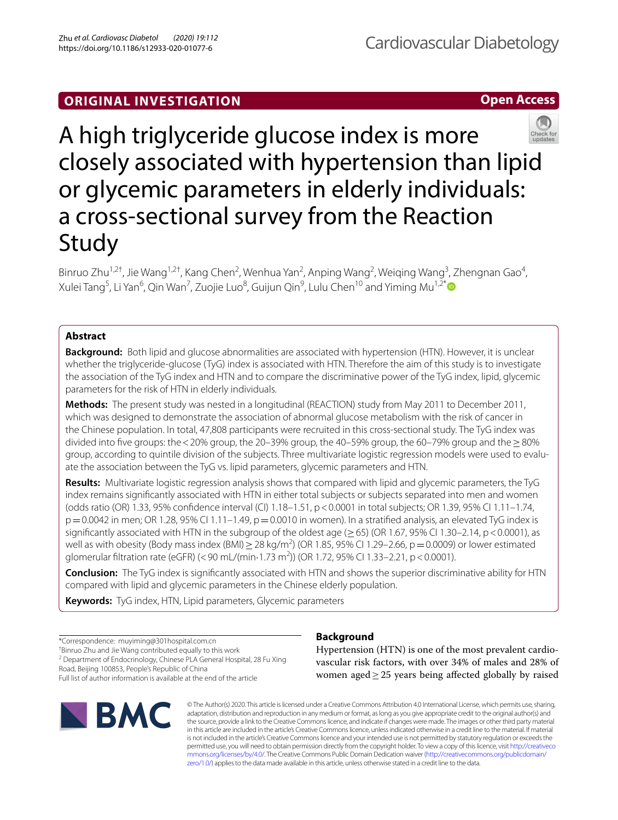# **ORIGINAL INVESTIGATION**

**Open Access**



Binruo Zhu<sup>1,2†</sup>, Jie Wang<sup>1,2†</sup>, Kang Chen<sup>2</sup>, Wenhua Yan<sup>2</sup>, Anping Wang<sup>2</sup>, Weiqing Wang<sup>3</sup>, Zhengnan Gao<sup>4</sup>, Xulei Tang<sup>5</sup>, Li Yan<sup>6</sup>, Qin Wan<sup>7</sup>, Zuojie Luo<sup>8</sup>, Guijun Qin<sup>9</sup>, Lulu Chen<sup>10</sup> and Yiming Mu<sup>1,2[\\*](http://orcid.org/0000-0002-3344-3540)</sup>

## **Abstract**

**Background:** Both lipid and glucose abnormalities are associated with hypertension (HTN). However, it is unclear whether the triglyceride-glucose (TyG) index is associated with HTN. Therefore the aim of this study is to investigate the association of the TyG index and HTN and to compare the discriminative power of the TyG index, lipid, glycemic parameters for the risk of HTN in elderly individuals.

**Methods:** The present study was nested in a longitudinal (REACTION) study from May 2011 to December 2011, which was designed to demonstrate the association of abnormal glucose metabolism with the risk of cancer in the Chinese population. In total, 47,808 participants were recruited in this cross-sectional study. The TyG index was divided into five groups: the <20% group, the 20–39% group, the 40–59% group, the 60–79% group and the  $>80\%$ group, according to quintile division of the subjects. Three multivariate logistic regression models were used to evaluate the association between the TyG vs. lipid parameters, glycemic parameters and HTN.

**Results:** Multivariate logistic regression analysis shows that compared with lipid and glycemic parameters, the TyG index remains signifcantly associated with HTN in either total subjects or subjects separated into men and women (odds ratio (OR) 1.33, 95% confdence interval (CI) 1.18–1.51, p<0.0001 in total subjects; OR 1.39, 95% CI 1.11–1.74,  $p=0.0042$  in men; OR 1.28, 95% CI 1.11–1.49,  $p=0.0010$  in women). In a stratified analysis, an elevated TyG index is significantly associated with HTN in the subgroup of the oldest age ( $\geq$  65) (OR 1.67, 95% CI 1.30–2.14, p < 0.0001), as well as with obesity (Body mass index (BMI)  $\geq$  28 kg/m<sup>2</sup>) (OR 1.85, 95% CI 1.29–2.66, p = 0.0009) or lower estimated glomerular filtration rate (eGFR) (< 90 mL/(min $\cdot$ 1.73 m<sup>2</sup>)) (OR 1.72, 95% CI 1.33–2.21, p < 0.0001).

**Conclusion:** The TyG index is signifcantly associated with HTN and shows the superior discriminative ability for HTN compared with lipid and glycemic parameters in the Chinese elderly population.

**Keywords:** TyG index, HTN, Lipid parameters, Glycemic parameters

\*Correspondence: muyiming@301hospital.com.cn

† Binruo Zhu and Jie Wang contributed equally to this work

<sup>2</sup> Department of Endocrinology, Chinese PLA General Hospital, 28 Fu Xing Road, Beijing 100853, People's Republic of China

Full list of author information is available at the end of the article



## **Background**

Hypertension (HTN) is one of the most prevalent cardiovascular risk factors, with over 34% of males and 28% of women aged≥25 years being afected globally by raised

© The Author(s) 2020. This article is licensed under a Creative Commons Attribution 4.0 International License, which permits use, sharing, adaptation, distribution and reproduction in any medium or format, as long as you give appropriate credit to the original author(s) and the source, provide a link to the Creative Commons licence, and indicate if changes were made. The images or other third party material in this article are included in the article's Creative Commons licence, unless indicated otherwise in a credit line to the material. If material is not included in the article's Creative Commons licence and your intended use is not permitted by statutory regulation or exceeds the permitted use, you will need to obtain permission directly from the copyright holder. To view a copy of this licence, visit [http://creativeco](http://creativecommons.org/licenses/by/4.0/) [mmons.org/licenses/by/4.0/.](http://creativecommons.org/licenses/by/4.0/) The Creative Commons Public Domain Dedication waiver ([http://creativecommons.org/publicdomain/](http://creativecommons.org/publicdomain/zero/1.0/) [zero/1.0/\)](http://creativecommons.org/publicdomain/zero/1.0/) applies to the data made available in this article, unless otherwise stated in a credit line to the data.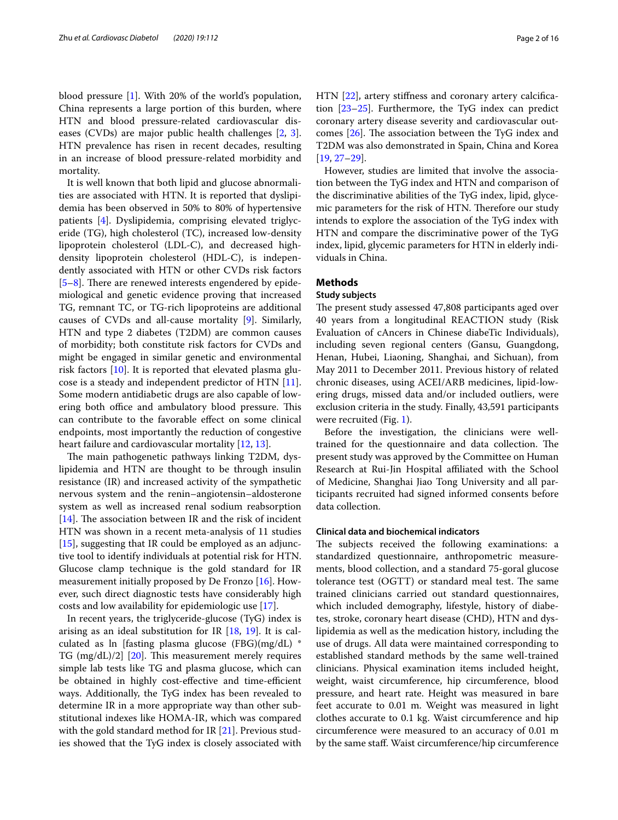blood pressure [[1\]](#page-13-0). With 20% of the world's population, China represents a large portion of this burden, where HTN and blood pressure-related cardiovascular diseases (CVDs) are major public health challenges [\[2](#page-13-1), [3](#page-13-2)]. HTN prevalence has risen in recent decades, resulting in an increase of blood pressure-related morbidity and mortality.

It is well known that both lipid and glucose abnormalities are associated with HTN. It is reported that dyslipidemia has been observed in 50% to 80% of hypertensive patients [[4\]](#page-13-3). Dyslipidemia, comprising elevated triglyceride (TG), high cholesterol (TC), increased low-density lipoprotein cholesterol (LDL-C), and decreased highdensity lipoprotein cholesterol (HDL-C), is independently associated with HTN or other CVDs risk factors  $[5–8]$  $[5–8]$  $[5–8]$ . There are renewed interests engendered by epidemiological and genetic evidence proving that increased TG, remnant TC, or TG-rich lipoproteins are additional causes of CVDs and all-cause mortality [\[9](#page-13-6)]. Similarly, HTN and type 2 diabetes (T2DM) are common causes of morbidity; both constitute risk factors for CVDs and might be engaged in similar genetic and environmental risk factors [\[10](#page-13-7)]. It is reported that elevated plasma glucose is a steady and independent predictor of HTN [\[11](#page-13-8)]. Some modern antidiabetic drugs are also capable of lowering both office and ambulatory blood pressure. This can contribute to the favorable efect on some clinical endpoints, most importantly the reduction of congestive heart failure and cardiovascular mortality [[12](#page-13-9), [13\]](#page-13-10).

The main pathogenetic pathways linking T2DM, dyslipidemia and HTN are thought to be through insulin resistance (IR) and increased activity of the sympathetic nervous system and the renin–angiotensin–aldosterone system as well as increased renal sodium reabsorption [[14\]](#page-14-0). The association between IR and the risk of incident HTN was shown in a recent meta-analysis of 11 studies [[15\]](#page-14-1), suggesting that IR could be employed as an adjunctive tool to identify individuals at potential risk for HTN. Glucose clamp technique is the gold standard for IR measurement initially proposed by De Fronzo [[16](#page-14-2)]. However, such direct diagnostic tests have considerably high costs and low availability for epidemiologic use [\[17](#page-14-3)].

In recent years, the triglyceride-glucose (TyG) index is arising as an ideal substitution for IR  $[18, 19]$  $[18, 19]$  $[18, 19]$  $[18, 19]$  $[18, 19]$ . It is calculated as ln [fasting plasma glucose (FBG)(mg/dL) \* TG  $(mg/dL)/2$ ] [\[20\]](#page-14-6). This measurement merely requires simple lab tests like TG and plasma glucose, which can be obtained in highly cost-effective and time-efficient ways. Additionally, the TyG index has been revealed to determine IR in a more appropriate way than other substitutional indexes like HOMA-IR, which was compared with the gold standard method for IR [[21\]](#page-14-7). Previous studies showed that the TyG index is closely associated with HTN [[22\]](#page-14-8), artery stiffness and coronary artery calcification [[23–](#page-14-9)[25\]](#page-14-10). Furthermore, the TyG index can predict coronary artery disease severity and cardiovascular outcomes  $[26]$  $[26]$ . The association between the TyG index and T2DM was also demonstrated in Spain, China and Korea [[19,](#page-14-5) [27](#page-14-12)[–29\]](#page-14-13).

However, studies are limited that involve the association between the TyG index and HTN and comparison of the discriminative abilities of the TyG index, lipid, glycemic parameters for the risk of HTN. Therefore our study intends to explore the association of the TyG index with HTN and compare the discriminative power of the TyG index, lipid, glycemic parameters for HTN in elderly individuals in China.

## **Methods**

### **Study subjects**

The present study assessed 47,808 participants aged over 40 years from a longitudinal REACTION study (Risk Evaluation of cAncers in Chinese diabeTic Individuals), including seven regional centers (Gansu, Guangdong, Henan, Hubei, Liaoning, Shanghai, and Sichuan), from May 2011 to December 2011. Previous history of related chronic diseases, using ACEI/ARB medicines, lipid-lowering drugs, missed data and/or included outliers, were exclusion criteria in the study. Finally, 43,591 participants were recruited (Fig. [1\)](#page-2-0).

Before the investigation, the clinicians were welltrained for the questionnaire and data collection. The present study was approved by the Committee on Human Research at Rui-Jin Hospital afliated with the School of Medicine, Shanghai Jiao Tong University and all participants recruited had signed informed consents before data collection.

## **Clinical data and biochemical indicators**

The subjects received the following examinations: a standardized questionnaire, anthropometric measurements, blood collection, and a standard 75-goral glucose tolerance test  $(OGTT)$  or standard meal test. The same trained clinicians carried out standard questionnaires, which included demography, lifestyle, history of diabetes, stroke, coronary heart disease (CHD), HTN and dyslipidemia as well as the medication history, including the use of drugs. All data were maintained corresponding to established standard methods by the same well-trained clinicians. Physical examination items included height, weight, waist circumference, hip circumference, blood pressure, and heart rate. Height was measured in bare feet accurate to 0.01 m. Weight was measured in light clothes accurate to 0.1 kg. Waist circumference and hip circumference were measured to an accuracy of 0.01 m by the same staf. Waist circumference/hip circumference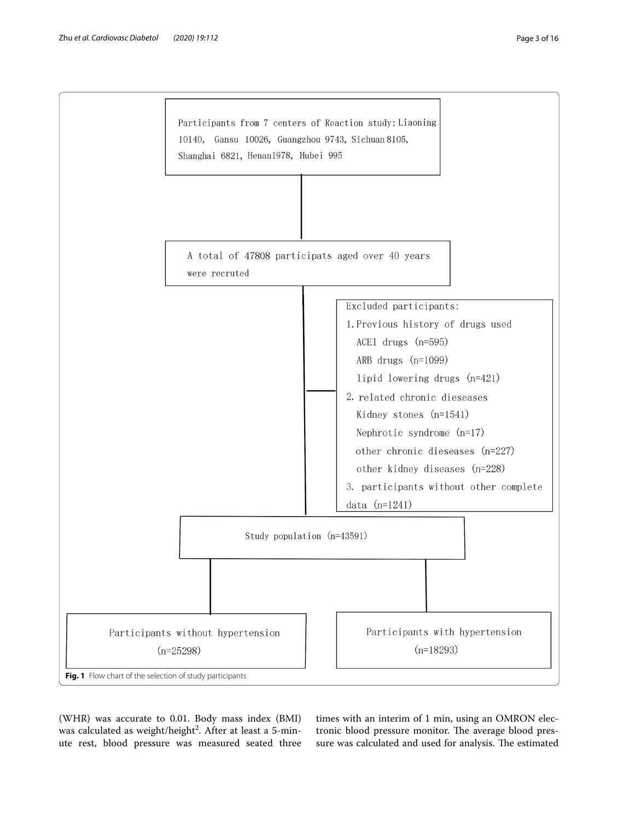

<span id="page-2-0"></span>(WHR) was accurate to 0.01. Body mass index (BMI) was calculated as weight/height<sup>2</sup>. After at least a 5-minute rest, blood pressure was measured seated three

times with an interim of 1 min, using an OMRON electronic blood pressure monitor. The average blood pressure was calculated and used for analysis. The estimated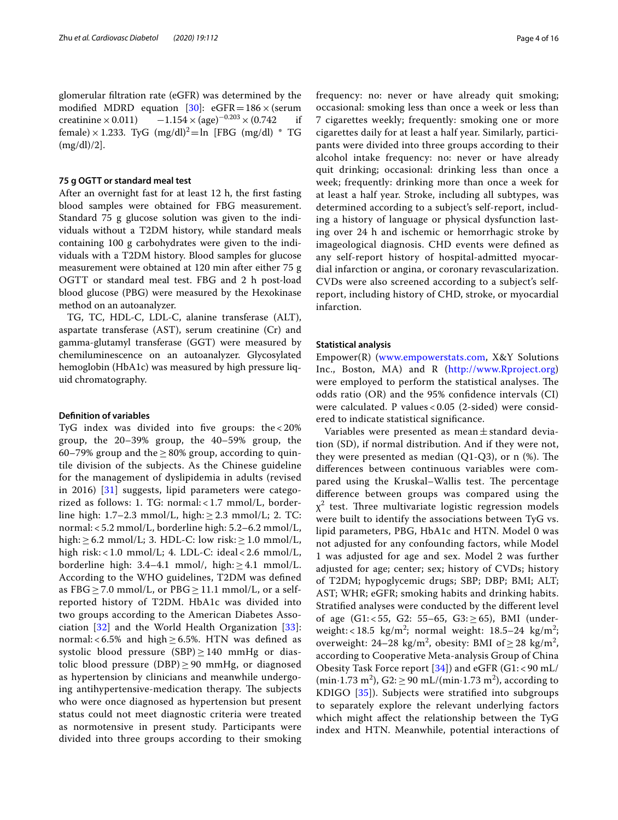glomerular fltration rate (eGFR) was determined by the modified MDRD equation [[30\]](#page-14-14):  $eGFR = 186 \times (serum  
creationine × 0.011) -1.154 × (age)<sup>-0.203</sup> × (0.742 if$  $-1.154 \times (age)^{-0.203} \times (0.742)$ female) × 1.233. TyG  $(mg/dl)^2 = ln$  [FBG  $(mg/dl)$  \* TG (mg/dl)/2].

## **75 g OGTT or standard meal test**

After an overnight fast for at least 12 h, the frst fasting blood samples were obtained for FBG measurement. Standard 75 g glucose solution was given to the individuals without a T2DM history, while standard meals containing 100 g carbohydrates were given to the individuals with a T2DM history. Blood samples for glucose measurement were obtained at 120 min after either 75 g OGTT or standard meal test. FBG and 2 h post-load blood glucose (PBG) were measured by the Hexokinase method on an autoanalyzer.

TG, TC, HDL-C, LDL-C, alanine transferase (ALT), aspartate transferase (AST), serum creatinine (Cr) and gamma-glutamyl transferase (GGT) were measured by chemiluminescence on an autoanalyzer. Glycosylated hemoglobin (HbA1c) was measured by high pressure liquid chromatography.

#### **Defnition of variables**

TyG index was divided into five groups: the  $< 20\%$ group, the 20–39% group, the 40–59% group, the 60–79% group and the  $\geq$  80% group, according to quintile division of the subjects. As the Chinese guideline for the management of dyslipidemia in adults (revised in 2016) [[31\]](#page-14-15) suggests, lipid parameters were categorized as follows: 1. TG: normal: < 1.7 mmol/L, borderline high:  $1.7-2.3$  mmol/L, high:  $\geq 2.3$  mmol/L; 2. TC: normal: < 5.2 mmol/L, borderline high: 5.2–6.2 mmol/L, high:  $\geq 6.2$  mmol/L; 3. HDL-C: low risk:  $\geq 1.0$  mmol/L, high risk: < 1.0 mmol/L; 4. LDL-C: ideal < 2.6 mmol/L, borderline high:  $3.4-4.1$  mmol/, high:  $\geq 4.1$  mmol/L. According to the WHO guidelines, T2DM was defned as FBG  $\geq$  7.0 mmol/L, or PBG  $\geq$  11.1 mmol/L, or a selfreported history of T2DM. HbA1c was divided into two groups according to the American Diabetes Association [\[32](#page-14-16)] and the World Health Organization [[33](#page-14-17)]: normal: <  $6.5\%$  and high  $\geq 6.5\%$ . HTN was defined as systolic blood pressure  $(SBP) \ge 140$  mmHg or diastolic blood pressure (DBP)  $\geq$  90 mmHg, or diagnosed as hypertension by clinicians and meanwhile undergoing antihypertensive-medication therapy. The subjects who were once diagnosed as hypertension but present status could not meet diagnostic criteria were treated as normotensive in present study. Participants were divided into three groups according to their smoking frequency: no: never or have already quit smoking; occasional: smoking less than once a week or less than 7 cigarettes weekly; frequently: smoking one or more cigarettes daily for at least a half year. Similarly, participants were divided into three groups according to their alcohol intake frequency: no: never or have already quit drinking; occasional: drinking less than once a week; frequently: drinking more than once a week for at least a half year. Stroke, including all subtypes, was determined according to a subject's self-report, including a history of language or physical dysfunction lasting over 24 h and ischemic or hemorrhagic stroke by imageological diagnosis. CHD events were defned as any self-report history of hospital-admitted myocardial infarction or angina, or coronary revascularization. CVDs were also screened according to a subject's selfreport, including history of CHD, stroke, or myocardial infarction.

## **Statistical analysis**

Empower(R) [\(www.empowerstats.com](http://www.empowerstats.com), X&Y Solutions Inc., Boston, MA) and R (<http://www.Rproject.org>) were employed to perform the statistical analyses. The odds ratio (OR) and the 95% confdence intervals (CI) were calculated. P values < 0.05 (2-sided) were considered to indicate statistical signifcance.

Variables were presented as mean $\pm$ standard deviation (SD), if normal distribution. And if they were not, they were presented as median  $(Q1-Q3)$ , or n  $(\%)$ . The diferences between continuous variables were compared using the Kruskal–Wallis test. The percentage diference between groups was compared using the  $\chi^2$  test. Three multivariate logistic regression models were built to identify the associations between TyG vs. lipid parameters, PBG, HbA1c and HTN. Model 0 was not adjusted for any confounding factors, while Model 1 was adjusted for age and sex. Model 2 was further adjusted for age; center; sex; history of CVDs; history of T2DM; hypoglycemic drugs; SBP; DBP; BMI; ALT; AST; WHR; eGFR; smoking habits and drinking habits. Stratifed analyses were conducted by the diferent level of age  $(G1: < 55, G2: 55–65, G3: \geq 65)$ , BMI (underweight: <18.5  $\text{kg/m}^2$ ; normal weight: 18.5–24  $\text{kg/m}^2$ ; overweight: 24–28 kg/m<sup>2</sup>, obesity: BMI of  $\geq$  28 kg/m<sup>2</sup>, according to Cooperative Meta-analysis Group of China Obesity Task Force report  $[34]$  $[34]$ ) and eGFR  $(G1: < 90 \text{ mL}$ /  $(\text{min-1.73 m}^2), \text{G2:} \geq 90 \text{ mL} / (\text{min-1.73 m}^2), \text{ according to}$ KDIGO [\[35\]](#page-14-19)). Subjects were stratifed into subgroups to separately explore the relevant underlying factors which might afect the relationship between the TyG index and HTN. Meanwhile, potential interactions of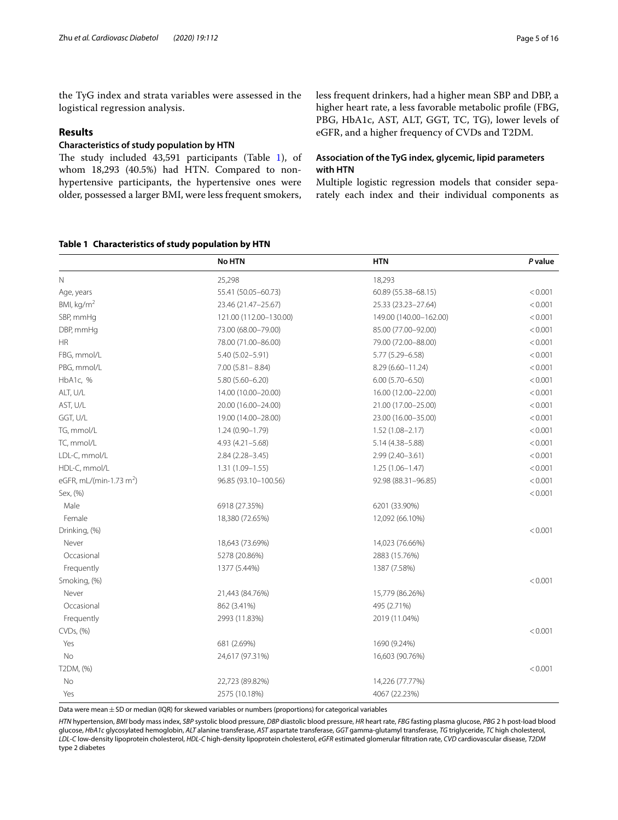the TyG index and strata variables were assessed in the logistical regression analysis.

## **Results**

## **Characteristics of study population by HTN**

The study included  $43,591$  $43,591$  participants (Table 1), of whom 18,293 (40.5%) had HTN. Compared to nonhypertensive participants, the hypertensive ones were older, possessed a larger BMI, were less frequent smokers,

## <span id="page-4-0"></span>**Table 1 Characteristics of study population by HTN**

less frequent drinkers, had a higher mean SBP and DBP, a higher heart rate, a less favorable metabolic profle (FBG, PBG, HbA1c, AST, ALT, GGT, TC, TG), lower levels of eGFR, and a higher frequency of CVDs and T2DM.

## **Association of the TyG index, glycemic, lipid parameters with HTN**

Multiple logistic regression models that consider separately each index and their individual components as

|                                             | <b>No HTN</b>          | <b>HTN</b>             | P value |
|---------------------------------------------|------------------------|------------------------|---------|
| Ν                                           | 25,298                 | 18,293                 |         |
| Age, years                                  | 55.41 (50.05-60.73)    | 60.89 (55.38-68.15)    | < 0.001 |
| BMI, kg/m <sup>2</sup>                      | 23.46 (21.47-25.67)    | 25.33 (23.23-27.64)    | < 0.001 |
| SBP, mmHq                                   | 121.00 (112.00-130.00) | 149.00 (140.00-162.00) | < 0.001 |
| DBP, mmHq                                   | 73.00 (68.00-79.00)    | 85.00 (77.00-92.00)    | < 0.001 |
| ΗR                                          | 78.00 (71.00-86.00)    | 79.00 (72.00-88.00)    | < 0.001 |
| FBG, mmol/L                                 | 5.40 (5.02-5.91)       | 5.77 (5.29 - 6.58)     | < 0.001 |
| PBG, mmol/L                                 | $7.00(5.81 - 8.84)$    | $8.29(6.60 - 11.24)$   | < 0.001 |
| HbA1c, %                                    | $5.80(5.60 - 6.20)$    | $6.00(5.70 - 6.50)$    | < 0.001 |
| ALT, U/L                                    | 14.00 (10.00-20.00)    | 16.00 (12.00-22.00)    | < 0.001 |
| AST, U/L                                    | 20.00 (16.00-24.00)    | 21.00 (17.00-25.00)    | < 0.001 |
| GGT, U/L                                    | 19.00 (14.00-28.00)    | 23.00 (16.00-35.00)    | < 0.001 |
| TG, mmol/L                                  | $1.24(0.90 - 1.79)$    | $1.52(1.08 - 2.17)$    | < 0.001 |
| TC, mmol/L                                  | $4.93(4.21 - 5.68)$    | $5.14(4.38 - 5.88)$    | < 0.001 |
| LDL-C, mmol/L                               | $2.84(2.28 - 3.45)$    | $2.99(2.40 - 3.61)$    | < 0.001 |
| HDL-C, mmol/L                               | $1.31(1.09 - 1.55)$    | $1.25(1.06 - 1.47)$    | < 0.001 |
| eGFR, mL/(min $\cdot$ 1.73 m <sup>2</sup> ) | 96.85 (93.10-100.56)   | 92.98 (88.31-96.85)    | < 0.001 |
| Sex, (%)                                    |                        |                        | < 0.001 |
| Male                                        | 6918 (27.35%)          | 6201 (33.90%)          |         |
| Female                                      | 18,380 (72.65%)        | 12,092 (66.10%)        |         |
| Drinking, (%)                               |                        |                        | < 0.001 |
| Never                                       | 18,643 (73.69%)        | 14,023 (76.66%)        |         |
| Occasional                                  | 5278 (20.86%)          | 2883 (15.76%)          |         |
| Frequently                                  | 1377 (5.44%)           | 1387 (7.58%)           |         |
| Smoking, (%)                                |                        |                        | < 0.001 |
| Never                                       | 21,443 (84.76%)        | 15,779 (86.26%)        |         |
| Occasional                                  | 862 (3.41%)            | 495 (2.71%)            |         |
| Frequently                                  | 2993 (11.83%)          | 2019 (11.04%)          |         |
| CVDs, (%)                                   |                        |                        | < 0.001 |
| Yes                                         | 681 (2.69%)            | 1690 (9.24%)           |         |
| No                                          | 24,617 (97.31%)        | 16,603 (90.76%)        |         |
| T2DM, (%)                                   |                        |                        | < 0.001 |
| No                                          | 22,723 (89.82%)        | 14,226 (77.77%)        |         |
| Yes                                         | 2575 (10.18%)          | 4067 (22.23%)          |         |

ata were mean $\pm$ SD or median (IQR) for skewed variables or numbers (proportions) for categorical variables

*HTN* hypertension, *BMI* body mass index, *SBP* systolic blood pressure, *DBP* diastolic blood pressure, *HR* heart rate, *FBG* fasting plasma glucose, *PBG* 2 h post-load blood glucose, *HbA1c* glycosylated hemoglobin, *ALT* alanine transferase, *AST* aspartate transferase, *GGT* gamma-glutamyl transferase, *TG* triglyceride, *TC* high cholesterol, *LDL*-*C* low-density lipoprotein cholesterol, *HDL*-*C* high-density lipoprotein cholesterol, *eGFR* estimated glomerular fltration rate, *CVD* cardiovascular disease, *T2DM* type 2 diabetes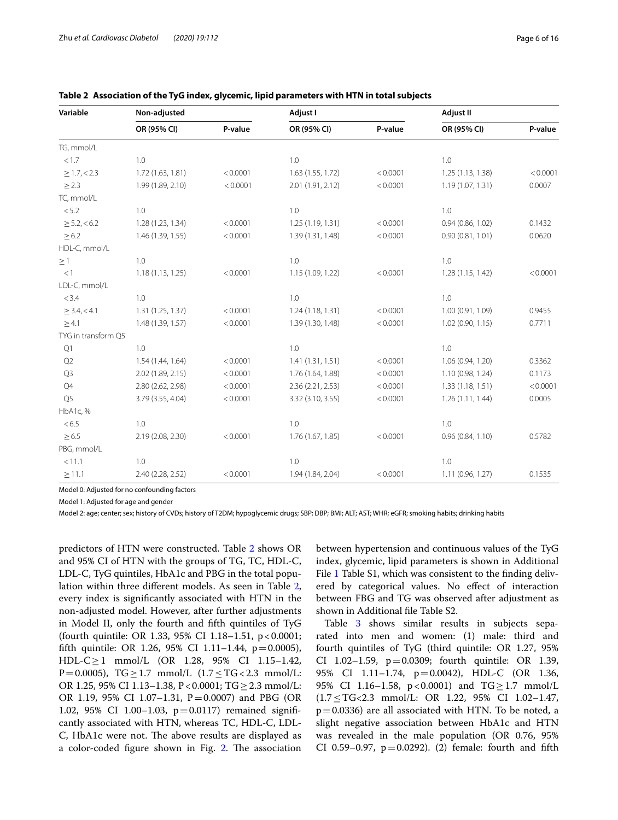| Variable            | Non-adjusted      |          | Adjust I          |          | Adjust II         |          |
|---------------------|-------------------|----------|-------------------|----------|-------------------|----------|
|                     | OR (95% CI)       | P-value  | OR (95% CI)       | P-value  | OR (95% CI)       | P-value  |
| TG, mmol/L          |                   |          |                   |          |                   |          |
| < 1.7               | 1.0               |          | 1.0               |          | 1.0               |          |
| $\geq 1.7, < 2.3$   | 1.72 (1.63, 1.81) | < 0.0001 | 1.63 (1.55, 1.72) | < 0.0001 | 1.25 (1.13, 1.38) | < 0.0001 |
| $\geq$ 2.3          | 1.99 (1.89, 2.10) | < 0.0001 | 2.01 (1.91, 2.12) | < 0.0001 | 1.19(1.07, 1.31)  | 0.0007   |
| TC, mmol/L          |                   |          |                   |          |                   |          |
| < 5.2               | 1.0               |          | 1.0               |          | 1.0               |          |
| $\geq$ 5.2, < 6.2   | 1.28 (1.23, 1.34) | < 0.0001 | 1.25(1.19, 1.31)  | < 0.0001 | 0.94(0.86, 1.02)  | 0.1432   |
| $\geq 6.2$          | 1.46 (1.39, 1.55) | < 0.0001 | 1.39 (1.31, 1.48) | < 0.0001 | 0.90(0.81, 1.01)  | 0.0620   |
| HDL-C, mmol/L       |                   |          |                   |          |                   |          |
| $\geq 1$            | 1.0               |          | 1.0               |          | 1.0               |          |
| <1                  | 1.18(1.13, 1.25)  | < 0.0001 | 1.15 (1.09, 1.22) | < 0.0001 | 1.28 (1.15, 1.42) | < 0.0001 |
| LDL-C, mmol/L       |                   |          |                   |          |                   |          |
| < 3.4               | 1.0               |          | 1.0               |          | 1.0               |          |
| $\geq$ 3.4, < 4.1   | 1.31 (1.25, 1.37) | < 0.0001 | 1.24(1.18, 1.31)  | < 0.0001 | 1.00 (0.91, 1.09) | 0.9455   |
| $\geq 4.1$          | 1.48 (1.39, 1.57) | < 0.0001 | 1.39 (1.30, 1.48) | < 0.0001 | 1.02 (0.90, 1.15) | 0.7711   |
| TYG in transform Q5 |                   |          |                   |          |                   |          |
| Q1                  | 1.0               |          | 1.0               |          | 1.0               |          |
| Q2                  | 1.54 (1.44, 1.64) | < 0.0001 | 1.41(1.31, 1.51)  | < 0.0001 | 1.06 (0.94, 1.20) | 0.3362   |
| Q3                  | 2.02 (1.89, 2.15) | < 0.0001 | 1.76 (1.64, 1.88) | < 0.0001 | 1.10 (0.98, 1.24) | 0.1173   |
| Q4                  | 2.80 (2.62, 2.98) | < 0.0001 | 2.36 (2.21, 2.53) | < 0.0001 | 1.33(1.18, 1.51)  | < 0.0001 |
| Q <sub>5</sub>      | 3.79 (3.55, 4.04) | < 0.0001 | 3.32 (3.10, 3.55) | < 0.0001 | 1.26(1.11, 1.44)  | 0.0005   |
| HbA1c, %            |                   |          |                   |          |                   |          |
| < 6.5               | 1.0               |          | 1.0               |          | 1.0               |          |
| $\geq 6.5$          | 2.19 (2.08, 2.30) | < 0.0001 | 1.76 (1.67, 1.85) | < 0.0001 | 0.96(0.84, 1.10)  | 0.5782   |
| PBG, mmol/L         |                   |          |                   |          |                   |          |
| < 11.1              | 1.0               |          | 1.0               |          | 1.0               |          |
| $\geq$ 11.1         | 2.40 (2.28, 2.52) | < 0.0001 | 1.94 (1.84, 2.04) | < 0.0001 | 1.11 (0.96, 1.27) | 0.1535   |

<span id="page-5-0"></span>

Model 0: Adjusted for no confounding factors

Model 1: Adjusted for age and gender

Model 2: age; center; sex; history of CVDs; history of T2DM; hypoglycemic drugs; SBP; DBP; BMI; ALT; AST; WHR; eGFR; smoking habits; drinking habits

predictors of HTN were constructed. Table [2](#page-5-0) shows OR and 95% CI of HTN with the groups of TG, TC, HDL-C, LDL-C, TyG quintiles, HbA1c and PBG in the total population within three diferent models. As seen in Table [2](#page-5-0), every index is signifcantly associated with HTN in the non-adjusted model. However, after further adjustments in Model II, only the fourth and ffth quintiles of TyG (fourth quintile: OR 1.33, 95% CI 1.18–1.51, p<0.0001; fifth quintile: OR 1.26, 95% CI 1.11–1.44,  $p = 0.0005$ ), HDL-C $\geq$ 1 mmol/L (OR 1.28, 95% CI 1.15–1.42, P=0.0005),  $TG \ge 1.7$  mmol/L  $(1.7 \le TG < 2.3$  mmol/L: OR 1.25, 95% CI 1.13–1.38, P<0.0001; TG≥2.3 mmol/L: OR 1.19, 95% CI 1.07-1.31,  $P = 0.0007$ ) and PBG (OR 1.02, 95% CI 1.00–1.03, p=0.0117) remained signifcantly associated with HTN, whereas TC, HDL-C, LDL-C, HbA1c were not. The above results are displayed as a color-coded figure shown in Fig. [2.](#page-6-0) The association between hypertension and continuous values of the TyG index, glycemic, lipid parameters is shown in Additional File [1](#page-13-11) Table S1, which was consistent to the finding delivered by categorical values. No efect of interaction between FBG and TG was observed after adjustment as shown in Additional fle Table S2.

Table [3](#page-7-0) shows similar results in subjects separated into men and women: (1) male: third and fourth quintiles of TyG (third quintile: OR 1.27, 95% CI 1.02–1.59, p=0.0309; fourth quintile: OR 1.39, 95% CI 1.11–1.74, p=0.0042), HDL-C (OR 1.36, 95% CI 1.16–1.58, p<0.0001) and TG > 1.7 mmol/L (1.7≤TG<2.3 mmol/L: OR 1.22, 95% CI 1.02–1.47,  $p=0.0336$ ) are all associated with HTN. To be noted, a slight negative association between HbA1c and HTN was revealed in the male population (OR 0.76, 95% CI 0.59–0.97,  $p=0.0292$ ). (2) female: fourth and fifth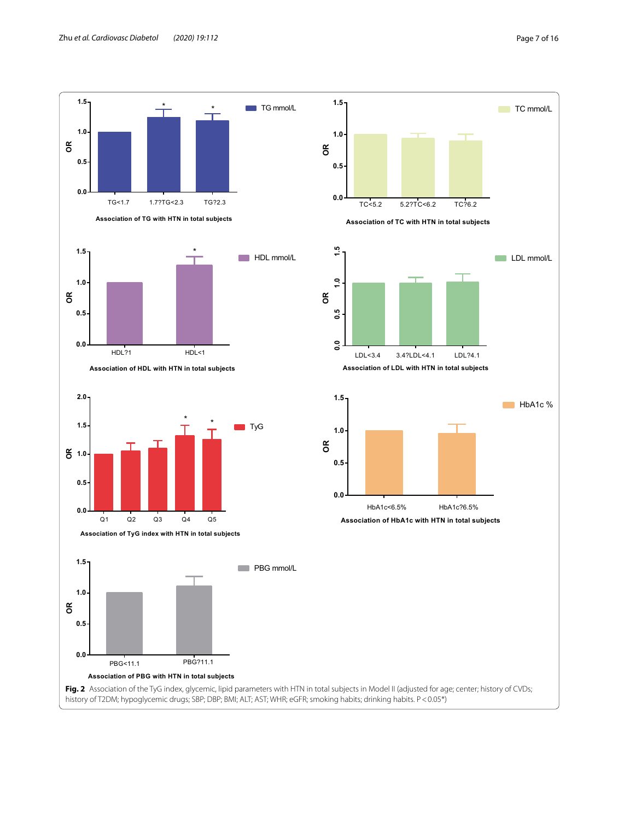

**Association of PBG with HTN in total subjects**



<span id="page-6-0"></span>Fig. 2 Association of the TyG index, glycemic, lipid parameters with HTN in total subjects in Model II (adjusted for age; center; history of CVDs; history of T2DM; hypoglycemic drugs; SBP; DBP; BMI; ALT; AST; WHR; eGFR; smoking habits; drinking habits. P<0.05\*)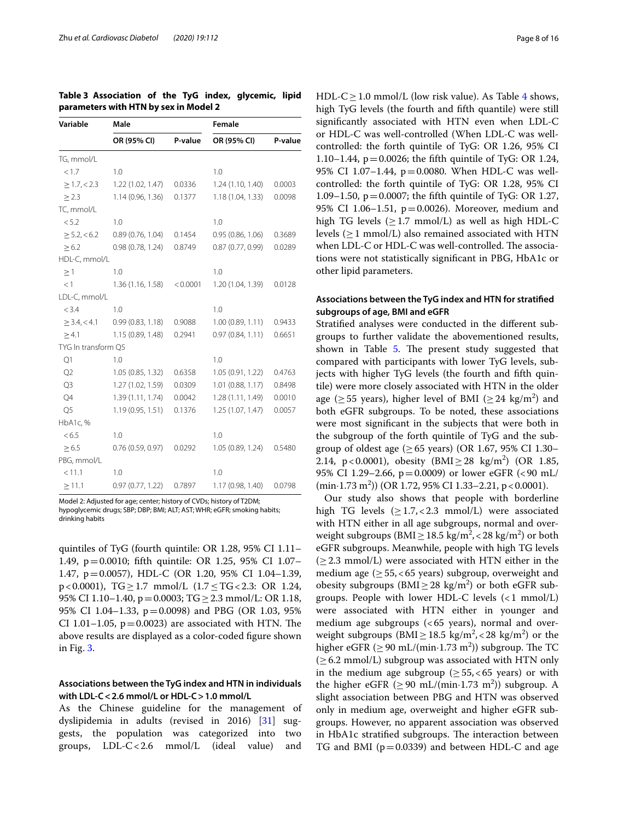<span id="page-7-0"></span>

| Table 3 Association of the TyG index, glycemic, lipid |  |  |  |
|-------------------------------------------------------|--|--|--|
| parameters with HTN by sex in Model 2                 |  |  |  |

| Variable            | Male              |          | <b>Female</b>     |         |
|---------------------|-------------------|----------|-------------------|---------|
|                     | OR (95% CI)       | P-value  | OR (95% CI)       | P-value |
| TG, mmol/L          |                   |          |                   |         |
| < 1.7               | 1.0               |          | 1.0               |         |
| $\geq 1.7, < 2.3$   | 1.22 (1.02, 1.47) | 0.0336   | 1.24(1.10, 1.40)  | 0.0003  |
| $\geq$ 2.3          | 1.14 (0.96, 1.36) | 0.1377   | 1.18 (1.04, 1.33) | 0.0098  |
| TC, mmol/L          |                   |          |                   |         |
| < 5.2               | 1.0               |          | 1.0               |         |
| $\geq$ 5.2, < 6.2   | 0.89(0.76, 1.04)  | 0.1454   | 0.95(0.86, 1.06)  | 0.3689  |
| $\geq 6.2$          | 0.98(0.78, 1.24)  | 0.8749   | 0.87(0.77, 0.99)  | 0.0289  |
| HDL-C, mmol/L       |                   |          |                   |         |
| $\geq$ 1            | 1.0               |          | 1.0               |         |
| <1                  | 1.36(1.16, 1.58)  | < 0.0001 | 1.20 (1.04, 1.39) | 0.0128  |
| LDL-C, mmol/L       |                   |          |                   |         |
| < 3.4               | 1.0               |          | 1.0               |         |
| $\geq$ 3.4, < 4.1   | 0.99(0.83, 1.18)  | 0.9088   | 1.00(0.89, 1.11)  | 0.9433  |
| $\geq 4.1$          | 1.15(0.89, 1.48)  | 0.2941   | 0.97(0.84, 1.11)  | 0.6651  |
| TYG In transform Q5 |                   |          |                   |         |
| Q1                  | 1.0               |          | 1.0               |         |
| Q <sub>2</sub>      | 1.05(0.85, 1.32)  | 0.6358   | 1.05(0.91, 1.22)  | 0.4763  |
| Q <sub>3</sub>      | 1.27 (1.02, 1.59) | 0.0309   | 1.01(0.88, 1.17)  | 0.8498  |
| Q4                  | 1.39 (1.11, 1.74) | 0.0042   | 1.28 (1.11, 1.49) | 0.0010  |
| Q <sub>5</sub>      | 1.19(0.95, 1.51)  | 0.1376   | 1.25(1.07, 1.47)  | 0.0057  |
| HbA1c, %            |                   |          |                   |         |
| < 6.5               | 1.0               |          | 1.0               |         |
| $\geq 6.5$          | 0.76(0.59, 0.97)  | 0.0292   | 1.05(0.89, 1.24)  | 0.5480  |
| PBG, mmol/L         |                   |          |                   |         |
| < 11.1              | 1.0               |          | 1.0               |         |
| $\geq$ 11.1         | 0.97(0.77, 1.22)  | 0.7897   | 1.17 (0.98, 1.40) | 0.0798  |

Model 2: Adjusted for age; center; history of CVDs; history of T2DM; hypoglycemic drugs; SBP; DBP; BMI; ALT; AST; WHR; eGFR; smoking habits; drinking habits

quintiles of TyG (fourth quintile: OR 1.28, 95% CI 1.11– 1.49, p=0.0010; ffth quintile: OR 1.25, 95% CI 1.07– 1.47, p=0.0057), HDL-C (OR 1.20, 95% CI 1.04–1.39, p<0.0001), TG≥1.7 mmol/L (1.7≤TG<2.3: OR 1.24, 95% CI 1.10–1.40, p=0.0003; TG  $\geq$  2.3 mmol/L: OR 1.18, 95% CI 1.04–1.33, p=0.0098) and PBG (OR 1.03, 95% CI 1.01–1.05,  $p=0.0023$ ) are associated with HTN. The above results are displayed as a color-coded fgure shown in Fig. [3](#page-8-0).

## **Associations between the TyG index and HTN in individuals with LDL-C<2.6 mmol/L or HDL-C>1.0 mmol/L**

As the Chinese guideline for the management of dyslipidemia in adults (revised in 2016) [[31](#page-14-15)] suggests, the population was categorized into two groups, LDL-C<2.6 mmol/L (ideal value) and HDL-C > 1.0 mmol/L (low risk value). As Table [4](#page-9-0) shows, high TyG levels (the fourth and ffth quantile) were still signifcantly associated with HTN even when LDL-C or HDL-C was well-controlled (When LDL-C was wellcontrolled: the forth quintile of TyG: OR 1.26, 95% CI 1.10–1.44,  $p = 0.0026$ ; the fifth quintile of TyG: OR 1.24, 95% CI 1.07–1.44, p=0.0080. When HDL-C was wellcontrolled: the forth quintile of TyG: OR 1.28, 95% CI 1.09–1.50, p=0.0007; the ffth quintile of TyG: OR 1.27, 95% CI 1.06–1.51, p=0.0026). Moreover, medium and high TG levels  $(\geq 1.7 \text{ mmol/L})$  as well as high HDL-C levels  $(>1$  mmol/L) also remained associated with HTN when LDL-C or HDL-C was well-controlled. The associations were not statistically signifcant in PBG, HbA1c or other lipid parameters.

## **Associations between the TyG index and HTN for stratifed subgroups of age, BMI and eGFR**

Stratifed analyses were conducted in the diferent subgroups to further validate the abovementioned results, shown in Table [5.](#page-10-0) The present study suggested that compared with participants with lower TyG levels, subjects with higher TyG levels (the fourth and ffth quintile) were more closely associated with HTN in the older age ( $\geq$  55 years), higher level of BMI ( $\geq$  24 kg/m<sup>2</sup>) and both eGFR subgroups. To be noted, these associations were most signifcant in the subjects that were both in the subgroup of the forth quintile of TyG and the subgroup of oldest age ( $\geq 65$  years) (OR 1.67, 95% CI 1.30– 2.14, p<0.0001), obesity  $(BMI \ge 28 \text{ kg/m}^2)$  (OR 1.85, 95% CI 1.29–2.66, p=0.0009) or lower eGFR (<90 mL/  $(\text{min-1.73 m}^2)$  (OR 1.72, 95% CI 1.33–2.21, p < 0.0001).

Our study also shows that people with borderline high TG levels  $(>1.7, < 2.3 \text{ mmol/L})$  were associated with HTN either in all age subgroups, normal and overweight subgroups ( $\text{BMI} \geq 18.5 \text{ kg/m}^2, < 28 \text{ kg/m}^2$ ) or both eGFR subgroups. Meanwhile, people with high TG levels  $(\geq 2.3 \text{ mmol/L})$  were associated with HTN either in the medium age  $(≥ 55, < 65$  years) subgroup, overweight and obesity subgroups  $(BMI \geq 28 \text{ kg/m}^2)$  or both eGFR subgroups. People with lower HDL-C levels  $( $1 \text{ mmol/L}$ )$ were associated with HTN either in younger and medium age subgroups  $( $65$  years), normal and over$ weight subgroups (BMI $\geq$  18.5 kg/m<sup>2</sup>, < 28 kg/m<sup>2</sup>) or the higher eGFR ( $\geq$  90 mL/(min·1.73 m<sup>2</sup>)) subgroup. The TC  $(\geq 6.2 \text{ mmol/L})$  subgroup was associated with HTN only in the medium age subgroup ( $\geq 55, < 65$  years) or with the higher eGFR ( $\geq$  90 mL/(min·1.73 m<sup>2</sup>)) subgroup. A slight association between PBG and HTN was observed only in medium age, overweight and higher eGFR subgroups. However, no apparent association was observed in HbA1c stratified subgroups. The interaction between TG and BMI ( $p=0.0339$ ) and between HDL-C and age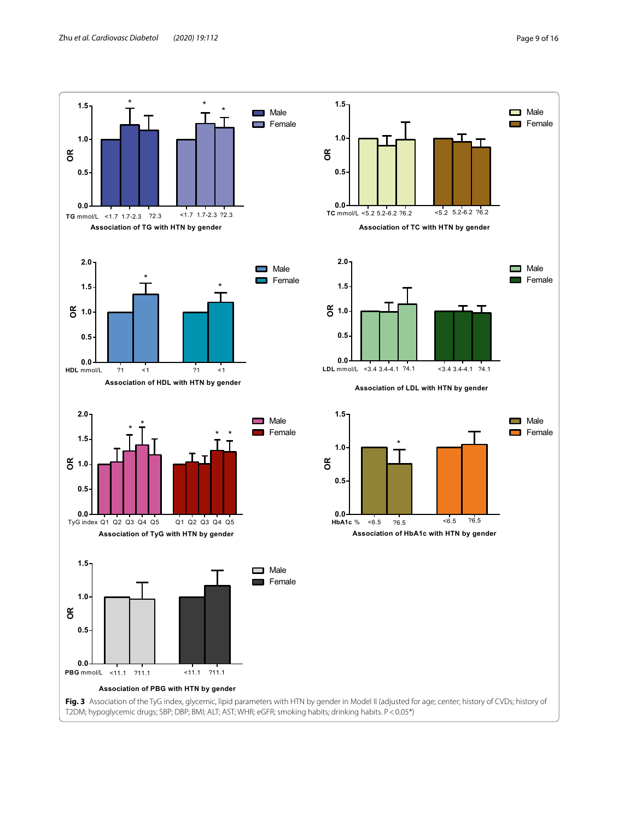<span id="page-8-0"></span>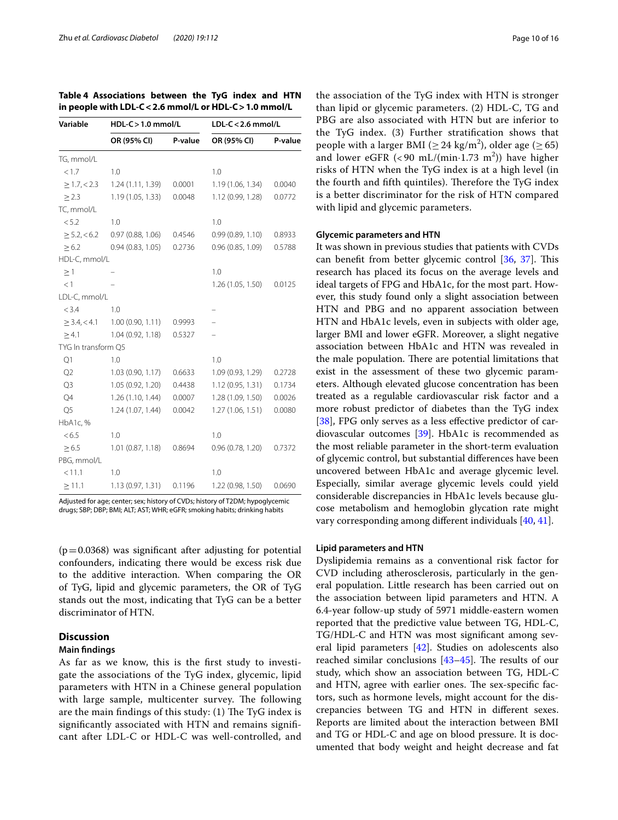| Variable            | $HDL-C > 1.0$ mmol/L |         | $LDL-C < 2.6$ mmol/L |         |
|---------------------|----------------------|---------|----------------------|---------|
|                     | OR (95% CI)          | P-value | OR (95% CI)          | P-value |
| TG, mmol/L          |                      |         |                      |         |
| < 1.7               | 1.0                  |         | 1.0                  |         |
| $\geq 1.7, < 2.3$   | 1.24 (1.11, 1.39)    | 0.0001  | 1.19 (1.06, 1.34)    | 0.0040  |
| $\geq$ 2.3          | 1.19(1.05, 1.33)     | 0.0048  | 1.12 (0.99, 1.28)    | 0.0772  |
| TC, mmol/L          |                      |         |                      |         |
| < 5.2               | 1.0                  |         | 1.0                  |         |
| $\geq$ 5.2, < 6.2   | 0.97(0.88, 1.06)     | 0.4546  | 0.99(0.89, 1.10)     | 0.8933  |
| $\geq 6.2$          | 0.94(0.83, 1.05)     | 0.2736  | 0.96(0.85, 1.09)     | 0.5788  |
| HDL-C, mmol/L       |                      |         |                      |         |
| $\geq$ 1            |                      |         | 1.0                  |         |
| <1                  |                      |         | 1.26(1.05, 1.50)     | 0.0125  |
| LDL-C, mmol/L       |                      |         |                      |         |
| < 3.4               | 1.0                  |         |                      |         |
| $\geq$ 3.4, < 4.1   | 1.00 (0.90, 1.11)    | 0.9993  |                      |         |
| $\geq 4.1$          | 1.04(0.92, 1.18)     | 0.5327  |                      |         |
| TYG In transform Q5 |                      |         |                      |         |
| Q1                  | 1.0                  |         | 1.0                  |         |
| Q2                  | 1.03 (0.90, 1.17)    | 0.6633  | 1.09 (0.93, 1.29)    | 0.2728  |
| Q3                  | 1.05 (0.92, 1.20)    | 0.4438  | 1.12(0.95, 1.31)     | 0.1734  |
| Q4                  | 1.26(1.10, 1.44)     | 0.0007  | 1.28 (1.09, 1.50)    | 0.0026  |
| Q <sub>5</sub>      | 1.24(1.07, 1.44)     | 0.0042  | 1.27(1.06, 1.51)     | 0.0080  |
| HbA1c, %            |                      |         |                      |         |
| < 6.5               | 1.0                  |         | 1.0                  |         |
| $\geq 6.5$          | 1.01(0.87, 1.18)     | 0.8694  | 0.96(0.78, 1.20)     | 0.7372  |
| PBG, mmol/L         |                      |         |                      |         |
| < 11.1              | 1.0                  |         | 1.0                  |         |
| $\geq$ 11.1         | 1.13 (0.97, 1.31)    | 0.1196  | 1.22 (0.98, 1.50)    | 0.0690  |

<span id="page-9-0"></span>**Table 4 Associations between the TyG index and HTN in people with LDL-C<2.6 mmol/L or HDL-C>1.0 mmol/L**

Adjusted for age; center; sex; history of CVDs; history of T2DM; hypoglycemic drugs; SBP; DBP; BMI; ALT; AST; WHR; eGFR; smoking habits; drinking habits

 $(p=0.0368)$  was significant after adjusting for potential confounders, indicating there would be excess risk due to the additive interaction. When comparing the OR of TyG, lipid and glycemic parameters, the OR of TyG stands out the most, indicating that TyG can be a better discriminator of HTN.

## **Discussion**

#### **Main fndings**

As far as we know, this is the frst study to investigate the associations of the TyG index, glycemic, lipid parameters with HTN in a Chinese general population with large sample, multicenter survey. The following are the main findings of this study:  $(1)$  The TyG index is signifcantly associated with HTN and remains signifcant after LDL-C or HDL-C was well-controlled, and

the association of the TyG index with HTN is stronger than lipid or glycemic parameters. (2) HDL-C, TG and PBG are also associated with HTN but are inferior to the TyG index. (3) Further stratifcation shows that people with a larger BMI ( $\geq 24$  kg/m<sup>2</sup>), older age ( $\geq 65$ ) and lower eGFR  $(< 90 \text{ mL/(min} \cdot 1.73 \text{ m}^2))$  have higher risks of HTN when the TyG index is at a high level (in the fourth and fifth quintiles). Therefore the TyG index is a better discriminator for the risk of HTN compared with lipid and glycemic parameters.

#### **Glycemic parameters and HTN**

It was shown in previous studies that patients with CVDs can benefit from better glycemic control [[36](#page-14-20), [37\]](#page-14-21). This research has placed its focus on the average levels and ideal targets of FPG and HbA1c, for the most part. However, this study found only a slight association between HTN and PBG and no apparent association between HTN and HbA1c levels, even in subjects with older age, larger BMI and lower eGFR. Moreover, a slight negative association between HbA1c and HTN was revealed in the male population. There are potential limitations that exist in the assessment of these two glycemic parameters. Although elevated glucose concentration has been treated as a regulable cardiovascular risk factor and a more robust predictor of diabetes than the TyG index [[38\]](#page-14-22), FPG only serves as a less effective predictor of cardiovascular outcomes [[39\]](#page-14-23). HbA1c is recommended as the most reliable parameter in the short-term evaluation of glycemic control, but substantial diferences have been uncovered between HbA1c and average glycemic level. Especially, similar average glycemic levels could yield considerable discrepancies in HbA1c levels because glucose metabolism and hemoglobin glycation rate might vary corresponding among diferent individuals [\[40,](#page-14-24) [41](#page-14-25)].

### **Lipid parameters and HTN**

Dyslipidemia remains as a conventional risk factor for CVD including atherosclerosis, particularly in the general population. Little research has been carried out on the association between lipid parameters and HTN. A 6.4-year follow-up study of 5971 middle-eastern women reported that the predictive value between TG, HDL-C, TG/HDL-C and HTN was most signifcant among several lipid parameters [\[42](#page-14-26)]. Studies on adolescents also reached similar conclusions  $[43-45]$  $[43-45]$  $[43-45]$ . The results of our study, which show an association between TG, HDL-C and HTN, agree with earlier ones. The sex-specific factors, such as hormone levels, might account for the discrepancies between TG and HTN in diferent sexes. Reports are limited about the interaction between BMI and TG or HDL-C and age on blood pressure. It is documented that body weight and height decrease and fat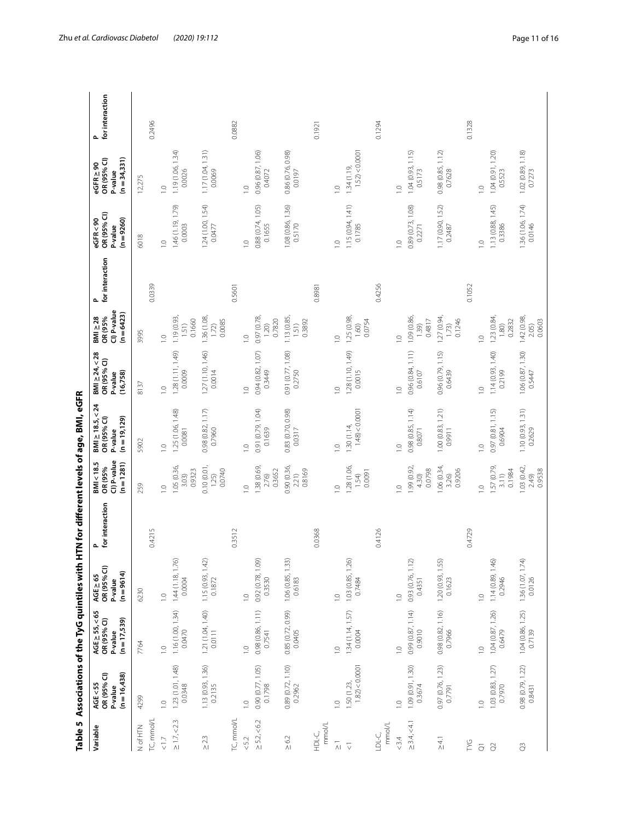|                      | Table 5 Associations of the TyG quintiles with     |                                                              |                                                         |                       |                                                    | HTN for different levels of age, BMI, eGFR                        |                                                            |                                                      |                       |                                                   |                                                             |                      |
|----------------------|----------------------------------------------------|--------------------------------------------------------------|---------------------------------------------------------|-----------------------|----------------------------------------------------|-------------------------------------------------------------------|------------------------------------------------------------|------------------------------------------------------|-----------------------|---------------------------------------------------|-------------------------------------------------------------|----------------------|
| Variable             | $(n = 16,438)$<br>OR (95% CI)<br>AGE<55<br>P-value | $AGE \ge 55, < 65$<br>OR (95% CI)<br>$(n=17,539)$<br>P-value | $ACE \geq 65$<br>OR (95% CI)<br>$(n = 9614)$<br>P-value | for interaction<br>Δ. | CI) P-value<br>$(n = 1281)$<br>BMI<18.5<br>OR (95% | $BNI \ge 18.5, < 24$<br>OR (95% CI)<br>$(n = 19, 129)$<br>P-value | $ SMI  \geq 24, 28$<br>OR (95% CI)<br>(16, 758)<br>P-value | CI) P-value<br>$(n=6423)$<br>$BM \geq 28$<br>OR (95% | for interaction<br>Δ. | OR (95% CI)<br>$(n = 9260)$<br>eGFR<90<br>P-value | $(n=34,331)$<br>OR (95% CI)<br>$e$ GFR $\geq$ 90<br>P-value | for interaction<br>م |
| N of HTN             | 4299                                               | 7764                                                         | 6230                                                    |                       | 259                                                | 5902                                                              | 8137                                                       | 3995                                                 |                       | 6018                                              | 12,275                                                      |                      |
| TC, mmol/l           |                                                    |                                                              |                                                         | 0.4215                |                                                    |                                                                   |                                                            |                                                      | 0.0339                |                                                   |                                                             | 0.2496               |
| $\leq 1.7$           | $\overline{1.0}$                                   | $\overline{1}$ . O                                           | $\overline{1.0}$                                        |                       | $\overline{1.0}$                                   | $\overline{1.0}$                                                  | $\frac{1}{2}$                                              | $\frac{1}{2}$                                        |                       | $\frac{0}{1}$                                     | $\overline{a}$                                              |                      |
| $\geq 1.7, < 2.3$    | 1.23(1.01, 1.48)<br>0.0348                         | 1.16 (1.00, 1.34)<br>0.0470                                  | 1.44(1.18, 1.76)<br>0.0004                              |                       | 1.05 (0.36,<br>0.9323<br>3.03)                     | 1.25 (1.06, 1.48)<br>0.0081                                       | 1.28(1.11, 1.49)<br>0.0009                                 | 1.19 (0.93,<br>0.1660<br>1.51)                       |                       | 1.46 (1.19, 1.79)<br>0.0003                       | 1.19(1.06, 1.34)<br>0.0026                                  |                      |
| $\geq 2.3$           | $1.13(0.93, 1.36)$<br>0.2135                       | 1.21 (1.04, 1.40)<br>0.0111                                  | $1.15(0.93, 1.42)$<br>$0.1872$                          |                       | 0.10(0.01,<br>0.0740<br>1.25)                      | $0.98(0.82, 1.17)$<br>$0.7960$                                    | 1.27 (1.10, 1.46)<br>0.0014                                | 1.36 (1.08,<br>0.0085<br>1.72)                       |                       | $1.24(1.00, 1.54)$<br>$0.0477$                    | 1.17(1.04, 1.31)<br>0.0069                                  |                      |
| TC, mmol/L           |                                                    |                                                              |                                                         | 0.3512                |                                                    |                                                                   |                                                            |                                                      | 0.5601                |                                                   |                                                             | 0.0882               |
| $< 5.2$              | $\overline{a}$                                     | $\frac{1}{2}$                                                | $\overline{a}$                                          |                       | $\frac{1}{2}$                                      | $\frac{1}{2}$                                                     | $\overline{1.0}$                                           | $\frac{1}{2}$                                        |                       | $\frac{1}{2}$                                     | $\overline{a}$                                              |                      |
| $\geq$ 5.2, < 6.2    | 0.90(0.77, 1.05)<br>0.1798                         | 0.98(0.86, 1.11)<br>0.7541                                   | 0.92(0.78, 1.09)<br>0.3530                              |                       | 1.38 (0.69)<br>0.3652<br>2.76)                     | 0.91 (0.79, 1.04)<br>0.1639                                       | 0.94(0.82, 1.07)<br>0.3449                                 | 0.97 (0.78<br>0.7820<br>1.20)                        |                       | 0.88(0.74, 1.05)<br>0.1655                        | 0.96(0.87, 1.06)<br>0.4072                                  |                      |
| $\geq 6.2$           | 0.89 (0.72, 1.10)<br>0.2962                        | 0.85 (0.72, 0.99)<br>0.0405                                  | 1.06(0.85, 1.33)<br>0.6183                              |                       | 0.90 (0.36,<br>0.8169<br>2.21)                     | 0.83 (0.70, 0.98)<br>0.0317                                       | 0.91 (0.77, 1.08)<br>0.2750                                | 1.13 (0.85,<br>0.3892<br>1.51)                       |                       | 1.08 (0.86, 1.36)<br>0.5170                       | 0.86 (0.76, 0.98)<br>0.0197                                 |                      |
| mmol/L<br>HDL-C,     |                                                    |                                                              |                                                         | 0.0368                |                                                    |                                                                   |                                                            |                                                      | 0.8981                |                                                   |                                                             | 0.1921               |
| $\frac{1}{\sqrt{2}}$ | $\overline{a}$                                     | $\frac{1}{2}$                                                | $\overline{a}$                                          |                       | $\frac{1}{2}$                                      | $\frac{0}{1}$                                                     | $\overline{a}$                                             | $\overline{0}$                                       |                       | $\frac{0}{1}$                                     | $\overline{a}$                                              |                      |
| $\overline{\vee}$    | $1.82$ ) < 0.0001<br>1.50 (1.23,                   | 1.34(1.14, 1.57)<br>0.0004                                   | 1.03(0.85, 1.26)<br>0.7484                              |                       | 1.28 (1.06,<br>0.0091<br>1.54                      | $1.48$ ) < 0.0001<br>1.30(1.14,                                   | 1.28 (1.10, 1.49)<br>0.0015                                | 1.25 (0.98,<br>0.0754<br>1.60)                       |                       | 1.15(0.94, 1.41)<br>0.1785                        | $1.52$ ) < 0.0001<br>1.34(1.19)                             |                      |
| mmol/L<br>LDL-C,     |                                                    |                                                              |                                                         | 0.4126                |                                                    |                                                                   |                                                            |                                                      | 0.4256                |                                                   |                                                             | 0.1294               |
| <3.4                 | $\overline{a}$                                     | $\overline{a}$                                               | $\frac{10}{10}$                                         |                       | $\overline{a}$                                     | $\overline{0}$                                                    | $\overline{1.0}$                                           | $\overline{a}$                                       |                       | $\overline{a}$                                    | $\overline{a}$                                              |                      |
| $\geq$ 3.4, < 4.1    | 1.09(0.91, 1.30)<br>0.3674                         | 0.99(0.87, 1.14)<br>0.9010                                   | 0.93(0.76, 1.12)<br>0.4351                              |                       | 1.99 (0.92,<br>0.0798<br>4.30)                     | 0.98(0.85, 1.14)<br>0.8071                                        | 0.96(0.84, 1.11)<br>0.6107                                 | 1.09 (0.86,<br>0.4817<br>1.39)                       |                       | 0.89(0.73, 1.08)<br>0.2271                        | 1.04(0.93, 1.15)<br>0.5173                                  |                      |
| $\geq 4.1$           | 0.97 (0.76, 1.23)<br>0.7791                        | 0.98(0.82, 1.16)<br>0.7966                                   | $1,20(0.93, 1.55)$<br>$0.1623$                          |                       | 1.06(0.34,<br>0.9206<br>3.26)                      | 1.00(0.83, 1.21)<br>0.9911                                        | 0.96 (0.79, 1.15)<br>0.6439                                | 1.27 (0.94,<br>0.1246<br>1.73)                       |                       | 1.17 (0.90, 1.52)<br>0.2487                       | 0.98(0.85, 1.12)<br>0.7628                                  |                      |
| PYG                  |                                                    |                                                              |                                                         | 0.4729                |                                                    |                                                                   |                                                            |                                                      | 0.1052                |                                                   |                                                             | 0.1328               |
| $\overline{O}$       | $\frac{1}{2}$                                      | $\overline{a}$                                               | $\overline{a}$                                          |                       | $\frac{1}{2}$                                      | $\frac{0}{1}$                                                     | $\overline{a}$                                             | $\overline{a}$                                       |                       | $\frac{0}{1}$                                     | $\overline{0}$                                              |                      |
| $\delta$             | 1.03(0.83, 1.27)<br>0.7970                         | 1.04(0.87, 1.26)<br>0.6479                                   | 1.14(0.89, 1.46)<br>0.2946                              |                       | 57 (0.79,<br>0.1984<br>3.11)                       | 0.97(0.81, 1.15)<br>0.6904                                        | 1.14(0.93, 1.40)<br>0.2199                                 | 1.23 (0.84,<br>0.2832<br>1,80                        |                       | 1.13(0.88, 1.45)<br>0.3386                        | 1.04(0.91, 1.20)<br>0.5523                                  |                      |
| $\mathcal{O}$        | 0.98(0.79, 1.22)<br>0.8431                         | 1.04(0.86, 1.25)<br>0.7139                                   | 1.36 (1.07, 1.74<br>0.0126                              |                       | 1.03 (0.42,<br>09538<br>2.49)                      | 1.10(0.93, 1.31)<br>0.2629                                        | $1.06(0.87, 1.30)$<br>0.5447                               | 1.42 (0.98,<br>0.0603<br>2.05)                       |                       | 1.36 (1.06, 1.74)<br>0.0146                       | 1.02 (0.89, 1.18)<br>0.7273                                 |                      |

<span id="page-10-0"></span>

| <b>RNA</b>                     |
|--------------------------------|
|                                |
| ĺ                              |
|                                |
|                                |
|                                |
|                                |
|                                |
|                                |
|                                |
|                                |
| ׇ֧֠֕֜֡                         |
|                                |
| i                              |
|                                |
|                                |
|                                |
|                                |
| $\frac{2}{1}$                  |
|                                |
|                                |
|                                |
| 、spains in spains in spains in |
|                                |
|                                |
|                                |
|                                |
|                                |
|                                |
|                                |
|                                |
|                                |
|                                |
|                                |
|                                |
|                                |
|                                |
|                                |
|                                |
|                                |
|                                |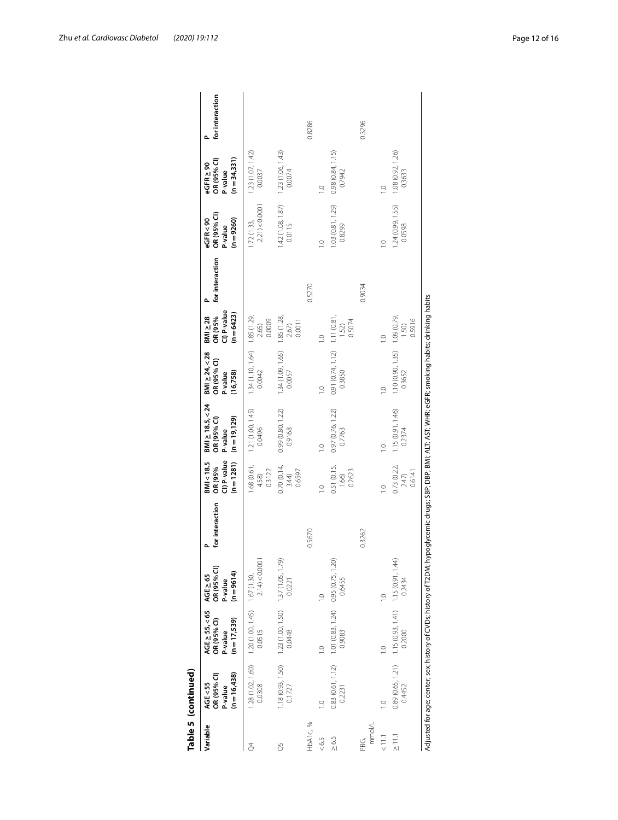|                | Table 5 (continued)                                                                                                                                      |                                                                                                                                                              |                                                    |                 |                                                  |                                                                   |                                                                                             |                                                                                                                                       |                 |                                                 |                                                             |                 |
|----------------|----------------------------------------------------------------------------------------------------------------------------------------------------------|--------------------------------------------------------------------------------------------------------------------------------------------------------------|----------------------------------------------------|-----------------|--------------------------------------------------|-------------------------------------------------------------------|---------------------------------------------------------------------------------------------|---------------------------------------------------------------------------------------------------------------------------------------|-----------------|-------------------------------------------------|-------------------------------------------------------------|-----------------|
| Variable       | $(n = 16,438)$<br>OR (95% CI)<br>AGE<55<br>P-value                                                                                                       | AGE $\geq$ 55, < 65<br>OR (95% CI)<br>$(n = 17,539)$<br>P-value                                                                                              | OR (95% CI)<br>P-value<br>$(n = 9614)$<br>AGE > 65 | for interaction | CI) P-value<br>BMI<18.5<br>$(n=1281)$<br>OR (95% | $BMl \ge 18.5, < 24$<br>$(n = 19, 129)$<br>OR (95% CI)<br>P-value | $BM \ge 24, < 28$<br>OR (95% CI)<br>P-value<br>(16, 758)                                    | $\begin{array}{c}\n\mathsf{BMI} \geq 28 \\ \mathsf{OR} \ (95\% \\ \mathsf{CI}\) \mathsf{P}\text{-value}\n\end{array}$<br>$(n = 6423)$ | for interaction | OR (95% CI)<br>P-value<br>$(n=9260)$<br>eGFR<90 | $(n=34,331)$<br>OR (95% CI)<br>$e$ GFR $\geq$ 90<br>P-value | for interaction |
| 8              |                                                                                                                                                          | $\begin{array}{lll} 1.28 \,(1.02, 1.60) & 1.20 \,(1.00, 1.45) & 1.67 \,(1.30, \\ 0.0308 & & 0.0515 & 2.14 \, \small{\small \leqslant \, 0.0001} \end{array}$ |                                                    |                 | 1.68 (0.61,<br>0.3122<br>4.58)                   | 1.21 (1.00, 1.45)<br>0.0496                                       | $1.34(1.10, 1.64)$ 1.85 (1.29,<br>0.0042                                                    | 0.0009<br>2.65)                                                                                                                       |                 | 2.21) < 0.0001<br>1.72(1.33,                    | 1.23(1.07, 1.42)<br>0.0037                                  |                 |
| 8              |                                                                                                                                                          |                                                                                                                                                              |                                                    |                 | 0.70(0.14,<br>0.6597<br>3.44)                    | 0.99 (0.80, 1.22)<br>0.9168                                       | $1.34(1.09, 1.65)$ $1.85(1.28, 0.0057)$ $2.67$                                              | 0.0011                                                                                                                                |                 | 0.0115                                          | $1.42(1.08, 1.87)$ $1.23(1.06, 1.43)$<br>0.0074             |                 |
| HbA1c, %       |                                                                                                                                                          |                                                                                                                                                              |                                                    | 0.5670          |                                                  |                                                                   |                                                                                             |                                                                                                                                       | 0.5270          |                                                 |                                                             | 0.8286          |
| &0.5           | 9                                                                                                                                                        |                                                                                                                                                              | $\frac{1}{2}$                                      |                 |                                                  | $\frac{1}{2}$                                                     | $\frac{1}{2}$                                                                               |                                                                                                                                       |                 | $\overline{C}$                                  |                                                             |                 |
| $\ge 6.5$      |                                                                                                                                                          | $0.83(0.61, 1.12)$ 1.01 (0.83, 1.24) 0.95 (0.75, 1.20)<br>0.2231 0.9083 0.6455                                                                               |                                                    |                 | 0.51 (0.15,<br>0.2623<br>1.66                    | 0.97 (0.76, 1.22)<br>0.7763                                       | $\begin{array}{cc}\n 0.91 & (0.74, 1.12) & 1.11 & (0.81, \\  0.3850 & & 1.52\n \end{array}$ | 0.5074                                                                                                                                |                 | 1.03 (0.81, 1.29)<br>0.8299                     | 0.98(0.84, 1.15)<br>0.7942                                  |                 |
| mmol/L<br>PBG. |                                                                                                                                                          |                                                                                                                                                              |                                                    | 0.3262          |                                                  |                                                                   |                                                                                             |                                                                                                                                       | 0.9034          |                                                 |                                                             | 0.3296          |
| $\leq$         | $\frac{1}{2}$                                                                                                                                            |                                                                                                                                                              | $\frac{1}{2}$                                      |                 |                                                  | $\frac{1}{2}$                                                     | $\frac{0}{1}$                                                                               |                                                                                                                                       |                 | $\frac{0}{1}$                                   | $\supseteq$                                                 |                 |
| $\frac{1}{2}$  |                                                                                                                                                          | 0.89 (0.65, 1.21) 1.15 (0.93, 1.41) 1.15 (0.91, 1.44<br>0.4452 0.2000 0.2000 0.2434                                                                          |                                                    |                 | 0.73 (0.22,<br>2.47)<br>0.6141                   | 1.15(0.91, 1.46)<br>0.2374                                        | $1.10(0.90, 1.35)$ 1.09 (0.79, 0.3652                                                       | 0.5916                                                                                                                                |                 | 1.24 (0.99, 1.55)<br>0.0598                     | 1.08 (0.92, 1.26)<br>0.3633                                 |                 |
|                | Adjusted for age; center; sex; history of CVDs; history of T2DM; hypoglycemic drugs; SBP; DBP; BMI; ALT; AST; WHR; eGFR; smoking habits; drinking habits |                                                                                                                                                              |                                                    |                 |                                                  |                                                                   |                                                                                             |                                                                                                                                       |                 |                                                 |                                                             |                 |

| L |
|---|
|   |
| d |
|   |
|   |
|   |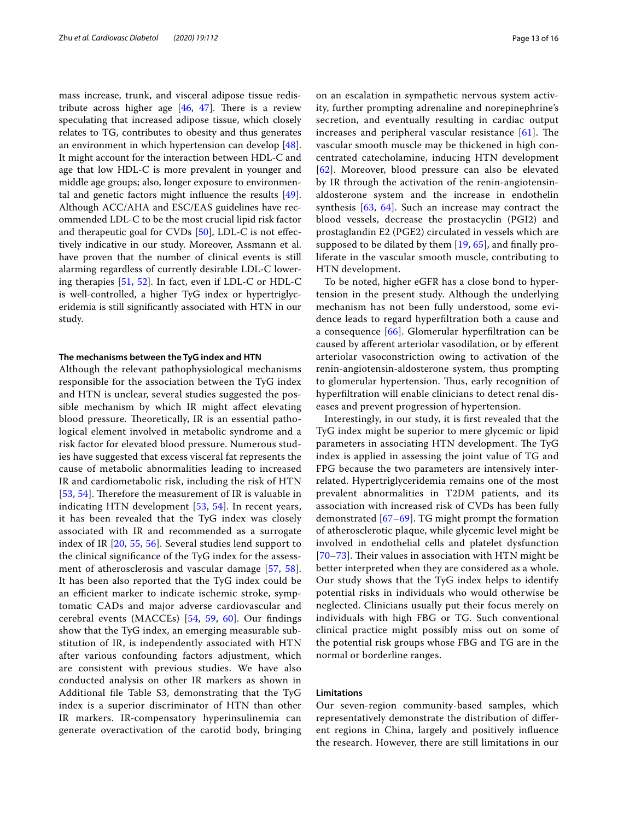mass increase, trunk, and visceral adipose tissue redistribute across higher age  $[46, 47]$  $[46, 47]$  $[46, 47]$  $[46, 47]$ . There is a review speculating that increased adipose tissue, which closely relates to TG, contributes to obesity and thus generates an environment in which hypertension can develop [\[48](#page-14-31)]. It might account for the interaction between HDL-C and age that low HDL-C is more prevalent in younger and middle age groups; also, longer exposure to environmental and genetic factors might infuence the results [\[49](#page-14-32)]. Although ACC/AHA and ESC/EAS guidelines have recommended LDL-C to be the most crucial lipid risk factor and therapeutic goal for CVDs [\[50](#page-14-33)], LDL-C is not efectively indicative in our study. Moreover, Assmann et al. have proven that the number of clinical events is still alarming regardless of currently desirable LDL-C lowering therapies [[51,](#page-14-34) [52](#page-15-0)]. In fact, even if LDL-C or HDL-C is well-controlled, a higher TyG index or hypertriglyceridemia is still signifcantly associated with HTN in our study.

#### **The mechanisms between the TyG index and HTN**

Although the relevant pathophysiological mechanisms responsible for the association between the TyG index and HTN is unclear, several studies suggested the possible mechanism by which IR might afect elevating blood pressure. Theoretically, IR is an essential pathological element involved in metabolic syndrome and a risk factor for elevated blood pressure. Numerous studies have suggested that excess visceral fat represents the cause of metabolic abnormalities leading to increased IR and cardiometabolic risk, including the risk of HTN [[53](#page-15-1), [54](#page-15-2)]. Therefore the measurement of IR is valuable in indicating HTN development [[53](#page-15-1), [54](#page-15-2)]. In recent years, it has been revealed that the TyG index was closely associated with IR and recommended as a surrogate index of IR [[20](#page-14-6), [55](#page-15-3), [56\]](#page-15-4). Several studies lend support to the clinical signifcance of the TyG index for the assessment of atherosclerosis and vascular damage [[57,](#page-15-5) [58\]](#page-15-6). It has been also reported that the TyG index could be an efficient marker to indicate ischemic stroke, symptomatic CADs and major adverse cardiovascular and cerebral events (MACCEs) [[54](#page-15-2), [59](#page-15-7), [60](#page-15-8)]. Our fndings show that the TyG index, an emerging measurable substitution of IR, is independently associated with HTN after various confounding factors adjustment, which are consistent with previous studies. We have also conducted analysis on other IR markers as shown in Additional fle Table S3, demonstrating that the TyG index is a superior discriminator of HTN than other IR markers. IR-compensatory hyperinsulinemia can generate overactivation of the carotid body, bringing on an escalation in sympathetic nervous system activity, further prompting adrenaline and norepinephrine's secretion, and eventually resulting in cardiac output increases and peripheral vascular resistance  $[61]$  $[61]$ . The vascular smooth muscle may be thickened in high concentrated catecholamine, inducing HTN development [[62](#page-15-10)]. Moreover, blood pressure can also be elevated by IR through the activation of the renin-angiotensinaldosterone system and the increase in endothelin synthesis [[63,](#page-15-11) [64](#page-15-12)]. Such an increase may contract the blood vessels, decrease the prostacyclin (PGI2) and prostaglandin E2 (PGE2) circulated in vessels which are supposed to be dilated by them  $[19, 65]$  $[19, 65]$  $[19, 65]$  $[19, 65]$ , and finally proliferate in the vascular smooth muscle, contributing to HTN development.

To be noted, higher eGFR has a close bond to hypertension in the present study. Although the underlying mechanism has not been fully understood, some evidence leads to regard hyperfltration both a cause and a consequence [[66\]](#page-15-14). Glomerular hyperfltration can be caused by aferent arteriolar vasodilation, or by eferent arteriolar vasoconstriction owing to activation of the renin-angiotensin-aldosterone system, thus prompting to glomerular hypertension. Tus, early recognition of hyperfltration will enable clinicians to detect renal diseases and prevent progression of hypertension.

Interestingly, in our study, it is frst revealed that the TyG index might be superior to mere glycemic or lipid parameters in associating HTN development. The TyG index is applied in assessing the joint value of TG and FPG because the two parameters are intensively interrelated. Hypertriglyceridemia remains one of the most prevalent abnormalities in T2DM patients, and its association with increased risk of CVDs has been fully demonstrated [[67–](#page-15-15)[69](#page-15-16)]. TG might prompt the formation of atherosclerotic plaque, while glycemic level might be involved in endothelial cells and platelet dysfunction  $[70-73]$  $[70-73]$  $[70-73]$ . Their values in association with HTN might be better interpreted when they are considered as a whole. Our study shows that the TyG index helps to identify potential risks in individuals who would otherwise be neglected. Clinicians usually put their focus merely on individuals with high FBG or TG. Such conventional clinical practice might possibly miss out on some of the potential risk groups whose FBG and TG are in the normal or borderline ranges.

## **Limitations**

Our seven-region community-based samples, which representatively demonstrate the distribution of diferent regions in China, largely and positively infuence the research. However, there are still limitations in our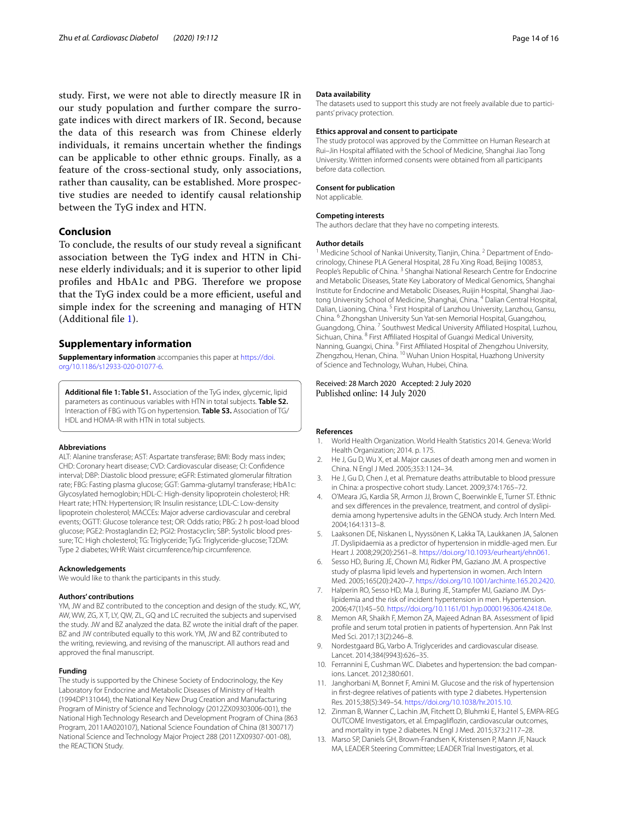study. First, we were not able to directly measure IR in our study population and further compare the surrogate indices with direct markers of IR. Second, because the data of this research was from Chinese elderly individuals, it remains uncertain whether the fndings can be applicable to other ethnic groups. Finally, as a feature of the cross-sectional study, only associations, rather than causality, can be established. More prospective studies are needed to identify causal relationship between the TyG index and HTN.

## **Conclusion**

To conclude, the results of our study reveal a signifcant association between the TyG index and HTN in Chinese elderly individuals; and it is superior to other lipid profiles and HbA1c and PBG. Therefore we propose that the TyG index could be a more efficient, useful and simple index for the screening and managing of HTN (Additional fle [1\)](#page-13-11).

## **Supplementary information**

**Supplementary information** accompanies this paper at [https://doi.](https://doi.org/10.1186/s12933-020-01077-6) [org/10.1186/s12933-020-01077-6](https://doi.org/10.1186/s12933-020-01077-6).

<span id="page-13-11"></span>**Additional fle 1: Table S1.** Association of the TyG index, glycemic, lipid parameters as continuous variables with HTN in total subjects. **Table S2.** Interaction of FBG with TG on hypertension. **Table S3.** Association of TG/ HDL and HOMA-IR with HTN in total subjects.

#### **Abbreviations**

ALT: Alanine transferase; AST: Aspartate transferase; BMI: Body mass index; CHD: Coronary heart disease; CVD: Cardiovascular disease; CI: Confdence interval; DBP: Diastolic blood pressure; eGFR: Estimated glomerular fltration rate; FBG: Fasting plasma glucose; GGT: Gamma-glutamyl transferase; HbA1c: Glycosylated hemoglobin; HDL-C: High-density lipoprotein cholesterol; HR: Heart rate; HTN: Hypertension; IR: Insulin resistance; LDL-C: Low-density lipoprotein cholesterol; MACCEs: Major adverse cardiovascular and cerebral events; OGTT: Glucose tolerance test; OR: Odds ratio; PBG: 2 h post-load blood glucose; PGE2: Prostaglandin E2; PGI2: Prostacyclin; SBP: Systolic blood pressure; TC: High cholesterol; TG: Triglyceride; TyG: Triglyceride-glucose; T2DM: Type 2 diabetes; WHR: Waist circumference/hip circumference.

#### **Acknowledgements**

We would like to thank the participants in this study.

#### **Authors' contributions**

YM, JW and BZ contributed to the conception and design of the study. KC, WY, AW, WW, ZG, X T, LY, QW, ZL, GQ and LC recruited the subjects and supervised the study. JW and BZ analyzed the data. BZ wrote the initial draft of the paper. BZ and JW contributed equally to this work. YM, JW and BZ contributed to the writing, reviewing, and revising of the manuscript. All authors read and approved the fnal manuscript.

#### **Funding**

The study is supported by the Chinese Society of Endocrinology, the Key Laboratory for Endocrine and Metabolic Diseases of Ministry of Health (1994DP131044), the National Key New Drug Creation and Manufacturing Program of Ministry of Science and Technology (2012ZX09303006-001), the National High Technology Research and Development Program of China (863 Program, 2011AA020107), National Science Foundation of China (81300717) National Science and Technology Major Project 288 (2011ZX09307-001-08), the REACTION Study.

#### **Data availability**

The datasets used to support this study are not freely available due to participants' privacy protection.

#### **Ethics approval and consent to participate**

The study protocol was approved by the Committee on Human Research at Rui-Jin Hospital affiliated with the School of Medicine, Shanghai Jiao Tong University. Written informed consents were obtained from all participants before data collection.

#### **Consent for publication**

Not applicable.

#### **Competing interests**

The authors declare that they have no competing interests.

#### **Author details**

<sup>1</sup> Medicine School of Nankai University, Tianjin, China.<sup>2</sup> Department of Endocrinology, Chinese PLA General Hospital, 28 Fu Xing Road, Beijing 100853, People's Republic of China.<sup>3</sup> Shanghai National Research Centre for Endocrine and Metabolic Diseases, State Key Laboratory of Medical Genomics, Shanghai Institute for Endocrine and Metabolic Diseases, Ruijin Hospital, Shanghai Jiaotong University School of Medicine, Shanghai, China. 4 Dalian Central Hospital, Dalian, Liaoning, China. 5 First Hospital of Lanzhou University, Lanzhou, Gansu, China. 6 Zhongshan University Sun Yat-sen Memorial Hospital, Guangzhou, Guangdong, China.<sup>7</sup> Southwest Medical University Affiliated Hospital, Luzhou, Sichuan, China. 8 First Afliated Hospital of Guangxi Medical University, Nanning, Guangxi, China. 9 First Afliated Hospital of Zhengzhou University, Zhengzhou, Henan, China. 10 Wuhan Union Hospital, Huazhong University of Science and Technology, Wuhan, Hubei, China.

## Received: 28 March 2020 Accepted: 2 July 2020 Published online: 14 July 2020

#### **References**

- <span id="page-13-0"></span>1. World Health Organization. World Health Statistics 2014. Geneva: World Health Organization; 2014. p. 175.
- <span id="page-13-1"></span>2. He J, Gu D, Wu X, et al. Major causes of death among men and women in China. N Engl J Med. 2005;353:1124–34.
- <span id="page-13-2"></span>3. He J, Gu D, Chen J, et al. Premature deaths attributable to blood pressure in China: a prospective cohort study. Lancet. 2009;374:1765–72.
- <span id="page-13-3"></span>4. O'Meara JG, Kardia SR, Armon JJ, Brown C, Boerwinkle E, Turner ST. Ethnic and sex diferences in the prevalence, treatment, and control of dyslipidemia among hypertensive adults in the GENOA study. Arch Intern Med. 2004;164:1313–8.
- <span id="page-13-4"></span>5. Laaksonen DE, Niskanen L, Nyyssönen K, Lakka TA, Laukkanen JA, Salonen JT. Dyslipidaemia as a predictor of hypertension in middle-aged men. Eur Heart J. 2008;29(20):2561–8. [https://doi.org/10.1093/eurheartj/ehn061.](https://doi.org/10.1093/eurheartj/ehn061)
- Sesso HD, Buring JE, Chown MJ, Ridker PM, Gaziano JM. A prospective study of plasma lipid levels and hypertension in women. Arch Intern Med. 2005;165(20):2420–7. [https://doi.org/10.1001/archinte.165.20.2420.](https://doi.org/10.1001/archinte.165.20.2420)
- 7. Halperin RO, Sesso HD, Ma J, Buring JE, Stampfer MJ, Gaziano JM. Dyslipidemia and the risk of incident hypertension in men. Hypertension. 2006;47(1):45–50.<https://doi.org/10.1161/01.hyp.0000196306.42418.0e>.
- <span id="page-13-5"></span>8. Memon AR, Shaikh F, Memon ZA, Majeed Adnan BA. Assessment of lipid profle and serum total protien in patients of hypertension. Ann Pak Inst Med Sci. 2017;13(2):246–8.
- <span id="page-13-6"></span>9. Nordestgaard BG, Varbo A. Triglycerides and cardiovascular disease. Lancet. 2014;384(9943):626–35.
- <span id="page-13-7"></span>10. Ferrannini E, Cushman WC. Diabetes and hypertension: the bad companions. Lancet. 2012;380:601.
- <span id="page-13-8"></span>11. Janghorbani M, Bonnet F, Amini M. Glucose and the risk of hypertension in frst-degree relatives of patients with type 2 diabetes. Hypertension Res. 2015;38(5):349–54.<https://doi.org/10.1038/hr.2015.10>.
- <span id="page-13-9"></span>12. Zinman B, Wanner C, Lachin JM, Fitchett D, Bluhmki E, Hantel S, EMPA-REG OUTCOME Investigators, et al. Empaglifozin, cardiovascular outcomes, and mortality in type 2 diabetes. N Engl J Med. 2015;373:2117–28.
- <span id="page-13-10"></span>13. Marso SP, Daniels GH, Brown-Frandsen K, Kristensen P, Mann JF, Nauck MA, LEADER Steering Committee; LEADER Trial Investigators, et al.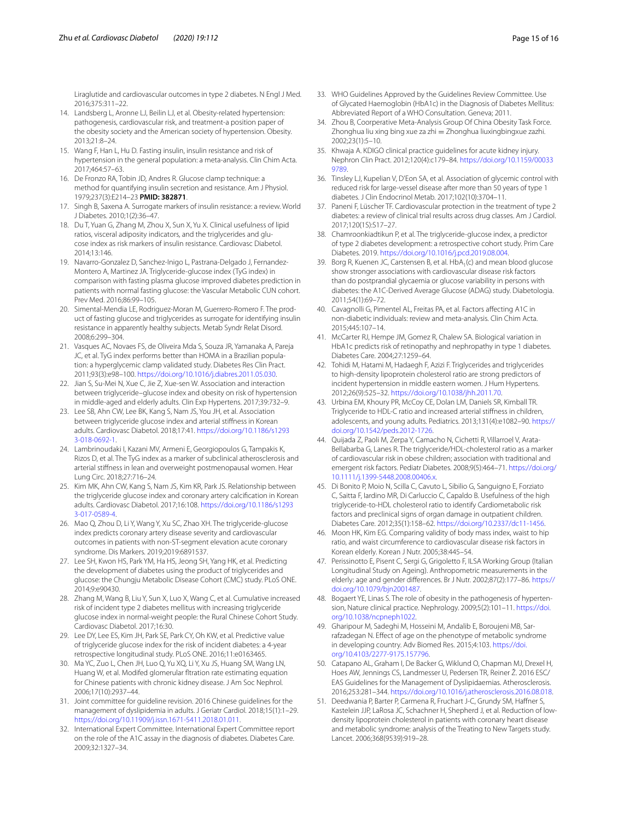Liraglutide and cardiovascular outcomes in type 2 diabetes. N Engl J Med. 2016;375:311–22.

- <span id="page-14-0"></span>14. Landsberg L, Aronne LJ, Beilin LJ, et al. Obesity-related hypertension: pathogenesis, cardiovascular risk, and treatment-a position paper of the obesity society and the American society of hypertension. Obesity. 2013;21:8–24.
- <span id="page-14-1"></span>15. Wang F, Han L, Hu D. Fasting insulin, insulin resistance and risk of hypertension in the general population: a meta-analysis. Clin Chim Acta. 2017;464:57–63.
- <span id="page-14-2"></span>16. De Fronzo RA, Tobin JD, Andres R. Glucose clamp technique: a method for quantifying insulin secretion and resistance. Am J Physiol. 1979;237(3):E214–23 **PMID: 382871**.
- <span id="page-14-3"></span>17. Singh B, Saxena A. Surrogate markers of insulin resistance: a review. World J Diabetes. 2010;1(2):36–47.
- <span id="page-14-4"></span>18. Du T, Yuan G, Zhang M, Zhou X, Sun X, Yu X. Clinical usefulness of lipid ratios, visceral adiposity indicators, and the triglycerides and glucose index as risk markers of insulin resistance. Cardiovasc Diabetol. 2014;13:146.
- <span id="page-14-5"></span>19. Navarro-Gonzalez D, Sanchez-Inigo L, Pastrana-Delgado J, Fernandez-Montero A, Martinez JA. Triglyceride-glucose index (TyG index) in comparison with fasting plasma glucose improved diabetes prediction in patients with normal fasting glucose: the Vascular Metabolic CUN cohort. Prev Med. 2016;86:99–105.
- <span id="page-14-6"></span>20. Simental-Mendia LE, Rodriguez-Moran M, Guerrero-Romero F. The product of fasting glucose and triglycerides as surrogate for identifying insulin resistance in apparently healthy subjects. Metab Syndr Relat Disord. 2008;6:299–304.
- <span id="page-14-7"></span>21. Vasques AC, Novaes FS, de Oliveira Mda S, Souza JR, Yamanaka A, Pareja JC, et al. TyG index performs better than HOMA in a Brazilian population: a hyperglycemic clamp validated study. Diabetes Res Clin Pract. 2011;93(3):e98–100. [https://doi.org/10.1016/j.diabres.2011.05.030.](https://doi.org/10.1016/j.diabres.2011.05.030)
- <span id="page-14-8"></span>22. Jian S, Su-Mei N, Xue C, Jie Z, Xue-sen W. Association and interaction between triglyceride–glucose index and obesity on risk of hypertension in middle-aged and elderly adults. Clin Exp Hypertens. 2017;39:732–9.
- <span id="page-14-9"></span>23. Lee SB, Ahn CW, Lee BK, Kang S, Nam JS, You JH, et al. Association between triglyceride glucose index and arterial stifness in Korean adults. Cardiovasc Diabetol. 2018;17:41. [https://doi.org/10.1186/s1293](https://doi.org/10.1186/s12933-018-0692-1) [3-018-0692-1](https://doi.org/10.1186/s12933-018-0692-1).
- 24. Lambrinoudaki I, Kazani MV, Armeni E, Georgiopoulos G, Tampakis K, Rizos D, et al. The TyG index as a marker of subclinical atherosclerosis and arterial stifness in lean and overweight postmenopausal women. Hear Lung Circ. 2018;27:716–24.
- <span id="page-14-10"></span>25. Kim MK, Ahn CW, Kang S, Nam JS, Kim KR, Park JS. Relationship between the triglyceride glucose index and coronary artery calcifcation in Korean adults. Cardiovasc Diabetol. 2017;16:108. [https://doi.org/10.1186/s1293](https://doi.org/10.1186/s12933-017-0589-4) [3-017-0589-4](https://doi.org/10.1186/s12933-017-0589-4).
- <span id="page-14-11"></span>26. Mao Q, Zhou D, Li Y, Wang Y, Xu SC, Zhao XH. The triglyceride-glucose index predicts coronary artery disease severity and cardiovascular outcomes in patients with non-ST-segment elevation acute coronary syndrome. Dis Markers. 2019;2019:6891537.
- <span id="page-14-12"></span>27. Lee SH, Kwon HS, Park YM, Ha HS, Jeong SH, Yang HK, et al. Predicting the development of diabetes using the product of triglycerides and glucose: the Chungju Metabolic Disease Cohort (CMC) study. PLoS ONE. 2014;9:e90430.
- 28. Zhang M, Wang B, Liu Y, Sun X, Luo X, Wang C, et al. Cumulative increased risk of incident type 2 diabetes mellitus with increasing triglyceride glucose index in normal-weight people: the Rural Chinese Cohort Study. Cardiovasc Diabetol. 2017;16:30.
- <span id="page-14-13"></span>29. Lee DY, Lee ES, Kim JH, Park SE, Park CY, Oh KW, et al. Predictive value of triglyceride glucose index for the risk of incident diabetes: a 4-year retrospective longitudinal study. PLoS ONE. 2016;11:e0163465.
- <span id="page-14-14"></span>30. Ma YC, Zuo L, Chen JH, Luo Q, Yu XQ, Li Y, Xu JS, Huang SM, Wang LN, Huang W, et al. Modifed glomerular ftration rate estimating equation for Chinese patients with chronic kidney disease. J Am Soc Nephrol. 2006;17(10):2937–44.
- <span id="page-14-15"></span>31. Joint committee for guideline revision. 2016 Chinese guidelines for the management of dyslipidemia in adults. J Geriatr Cardiol. 2018;15(1):1–29. [https://doi.org/10.11909/j.issn.1671-5411.2018.01.011.](https://doi.org/10.11909/j.issn.1671-5411.2018.01.011)
- <span id="page-14-16"></span>32. International Expert Committee. International Expert Committee report on the role of the A1C assay in the diagnosis of diabetes. Diabetes Care. 2009;32:1327–34.
- <span id="page-14-17"></span>33. WHO Guidelines Approved by the Guidelines Review Committee. Use of Glycated Haemoglobin (HbA1c) in the Diagnosis of Diabetes Mellitus: Abbreviated Report of a WHO Consultation. Geneva; 2011.
- <span id="page-14-18"></span>34. Zhou B, Coorperative Meta-Analysis Group Of China Obesity Task Force. Zhonghua liu xing bing xue za zhi = Zhonghua liuxingbingxue zazhi. 2002;23(1):5–10.
- <span id="page-14-19"></span>35. Khwaja A. KDIGO clinical practice guidelines for acute kidney injury. Nephron Clin Pract. 2012;120(4):c179–84. [https://doi.org/10.1159/00033](https://doi.org/10.1159/000339789) [9789](https://doi.org/10.1159/000339789).
- <span id="page-14-20"></span>36. Tinsley LJ, Kupelian V, D'Eon SA, et al. Association of glycemic control with reduced risk for large-vessel disease after more than 50 years of type 1 diabetes. J Clin Endocrinol Metab. 2017;102(10):3704–11.
- <span id="page-14-21"></span>37. Paneni F, Lüscher TF. Cardiovascular protection in the treatment of type 2 diabetes: a review of clinical trial results across drug classes. Am J Cardiol. 2017;120(1S):S17–27.
- <span id="page-14-22"></span>38. Chamroonkiadtikun P, et al. The triglyceride-glucose index, a predictor of type 2 diabetes development: a retrospective cohort study. Prim Care Diabetes. 2019.<https://doi.org/10.1016/j.pcd.2019.08.004>.
- <span id="page-14-23"></span>39. Borg R, Kuenen JC, Carstensen B, et al. HbA<sub>1</sub>(c) and mean blood glucose show stronger associations with cardiovascular disease risk factors than do postprandial glycaemia or glucose variability in persons with diabetes: the A1C-Derived Average Glucose (ADAG) study. Diabetologia. 2011;54(1):69–72.
- <span id="page-14-24"></span>40. Cavagnolli G, Pimentel AL, Freitas PA, et al. Factors afecting A1C in non-diabetic individuals: review and meta-analysis. Clin Chim Acta. 2015;445:107–14.
- <span id="page-14-25"></span>41. McCarter RJ, Hempe JM, Gomez R, Chalew SA. Biological variation in HbA1c predicts risk of retinopathy and nephropathy in type 1 diabetes. Diabetes Care. 2004;27:1259–64.
- <span id="page-14-26"></span>42. Tohidi M, Hatami M, Hadaegh F, Azizi F. Triglycerides and triglycerides to high-density lipoprotein cholesterol ratio are strong predictors of incident hypertension in middle eastern women. J Hum Hypertens. 2012;26(9):525–32. [https://doi.org/10.1038/jhh.2011.70.](https://doi.org/10.1038/jhh.2011.70)
- <span id="page-14-27"></span>43. Urbina EM, Khoury PR, McCoy CE, Dolan LM, Daniels SR, Kimball TR. Triglyceride to HDL-C ratio and increased arterial stifness in children, adolescents, and young adults. Pediatrics. 2013;131(4):e1082–90. [https://](https://doi.org/10.1542/peds.2012-1726) [doi.org/10.1542/peds.2012-1726.](https://doi.org/10.1542/peds.2012-1726)
- 44. Quijada Z, Paoli M, Zerpa Y, Camacho N, Cichetti R, Villarroel V, Arata-Bellabarba G, Lanes R. The triglyceride/HDL-cholesterol ratio as a marker of cardiovascular risk in obese children; association with traditional and emergent risk factors. Pediatr Diabetes. 2008;9(5):464–71. [https://doi.org/](https://doi.org/10.1111/j.1399-5448.2008.00406.x) [10.1111/j.1399-5448.2008.00406.x](https://doi.org/10.1111/j.1399-5448.2008.00406.x).
- <span id="page-14-28"></span>45. Di Bonito P, Moio N, Scilla C, Cavuto L, Sibilio G, Sanguigno E, Forziato C, Saitta F, Iardino MR, Di Carluccio C, Capaldo B. Usefulness of the high triglyceride-to-HDL cholesterol ratio to identify Cardiometabolic risk factors and preclinical signs of organ damage in outpatient children. Diabetes Care. 2012;35(1):158–62. [https://doi.org/10.2337/dc11-1456.](https://doi.org/10.2337/dc11-1456)
- <span id="page-14-29"></span>46. Moon HK, Kim EG. Comparing validity of body mass index, waist to hip ratio, and waist circumference to cardiovascular disease risk factors in Korean elderly. Korean J Nutr. 2005;38:445–54.
- <span id="page-14-30"></span>47. Perissinotto E, Pisent C, Sergi G, Grigoletto F, ILSA Working Group (Italian Longitudinal Study on Ageing). Anthropometric measurements in the elderly: age and gender diferences. Br J Nutr. 2002;87(2):177–86. [https://](https://doi.org/10.1079/bjn2001487) [doi.org/10.1079/bjn2001487.](https://doi.org/10.1079/bjn2001487)
- <span id="page-14-31"></span>48. Bogaert YE, Linas S. The role of obesity in the pathogenesis of hypertension, Nature clinical practice. Nephrology. 2009;5(2):101–11. [https://doi.](https://doi.org/10.1038/ncpneph1022) [org/10.1038/ncpneph1022](https://doi.org/10.1038/ncpneph1022).
- <span id="page-14-32"></span>49. Gharipour M, Sadeghi M, Hosseini M, Andalib E, Boroujeni MB, Sarrafzadegan N. Efect of age on the phenotype of metabolic syndrome in developing country. Adv Biomed Res. 2015;4:103. [https://doi.](https://doi.org/10.4103/2277-9175.157796) [org/10.4103/2277-9175.157796](https://doi.org/10.4103/2277-9175.157796).
- <span id="page-14-33"></span>50. Catapano AL, Graham I, De Backer G, Wiklund O, Chapman MJ, Drexel H, Hoes AW, Jennings CS, Landmesser U, Pedersen TR, Reiner Ž. 2016 ESC/ EAS Guidelines for the Management of Dyslipidaemias. Atherosclerosis. 2016;253:281–344. <https://doi.org/10.1016/j.atherosclerosis.2016.08.018>.
- <span id="page-14-34"></span>51. Deedwania P, Barter P, Carmena R, Fruchart J-C, Grundy SM, Hafner S, Kastelein JJP, LaRosa JC, Schachner H, Shepherd J, et al. Reduction of lowdensity lipoprotein cholesterol in patients with coronary heart disease and metabolic syndrome: analysis of the Treating to New Targets study. Lancet. 2006;368(9539):919–28.